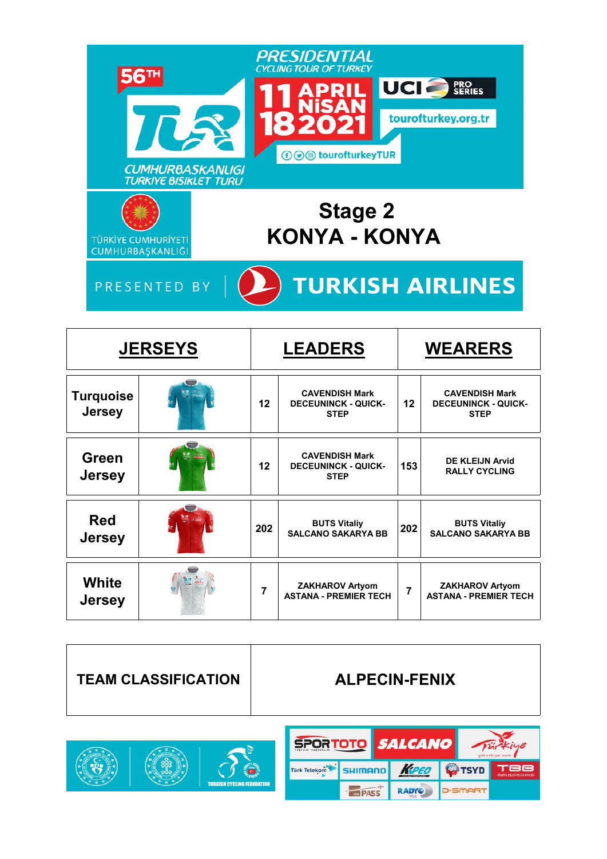

|                                   | <b>JERSEYS</b> | <b>LEADERS</b> |                                                                    |     | <b>WEARERS</b>                                                     |  |  |
|-----------------------------------|----------------|----------------|--------------------------------------------------------------------|-----|--------------------------------------------------------------------|--|--|
| <b>Turquoise</b><br><b>Jersey</b> |                | $12 \,$        | <b>CAVENDISH Mark</b><br><b>DECEUNINCK - QUICK-</b><br><b>STEP</b> | 12  | <b>CAVENDISH Mark</b><br><b>DECEUNINCK - QUICK-</b><br><b>STEP</b> |  |  |
| Green<br><b>Jersey</b>            |                | 12             | <b>CAVENDISH Mark</b><br><b>DECEUNINCK - QUICK-</b><br><b>STEP</b> | 153 | <b>DE KLEIJN Arvid</b><br><b>RALLY CYCLING</b>                     |  |  |
| <b>Red</b><br><b>Jersey</b>       |                | 202            | <b>BUTS Vitaliy</b><br><b>SALCANO SAKARYA BB</b>                   | 202 | <b>BUTS Vitaliy</b><br><b>SALCANO SAKARYA BB</b>                   |  |  |
| White<br><b>Jersey</b>            |                | 7              | <b>ZAKHAROV Artyom</b><br><b>ASTANA - PREMIER TECH</b>             | 7   | <b>ZAKHAROV Artyom</b><br><b>ASTANA - PREMIER TECH</b>             |  |  |



**ISA PASS** 

RADYO

**D**-SMART

**TURKISH CYCLING FEBERI**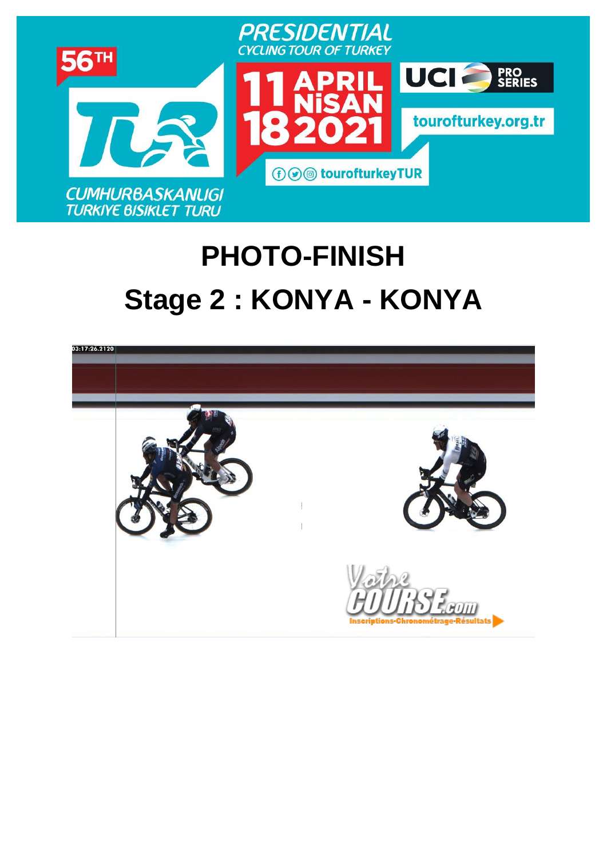

# **PHOTO-FINISH Stage 2 : [KONYA](https://www.procyclingstats.com/race/tour-of-turkey/2021/stage-1) - KONYA**

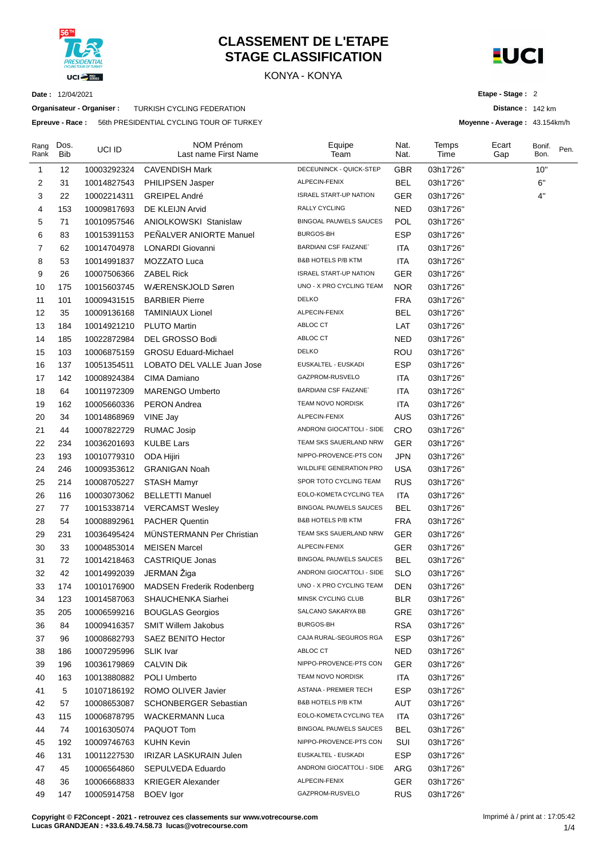

#### **CLASSEMENT DE L'ETAPE STAGE CLASSIFICATION**

KONYA - KONYA



**Distance :** 142 km **Moyenne - Average :** 43.154km/h

**Etape - Stage :** 2

**Date :** 12/04/2021

**Organisateur - Organiser :** TURKISH CYCLING FEDERATION

**Epreuve - Race :** 56th PRESIDENTIAL CYCLING TOUR OF TURKEY

| Rang<br>Rank | Dos.<br><b>Bib</b> | UCI ID      | NOM Prénom<br>Last name First Name | Equipe<br>Team                 | Nat.<br>Nat. | Temps<br>Time | Ecart<br>Gap | Bonif.<br>Bon. | Pen. |
|--------------|--------------------|-------------|------------------------------------|--------------------------------|--------------|---------------|--------------|----------------|------|
| 1            | 12                 | 10003292324 | <b>CAVENDISH Mark</b>              | DECEUNINCK - QUICK-STEP        | <b>GBR</b>   | 03h17'26"     |              | 10"            |      |
| 2            | 31                 | 10014827543 | PHILIPSEN Jasper                   | ALPECIN-FENIX                  | <b>BEL</b>   | 03h17'26"     |              | 6"             |      |
| 3            | 22                 | 10002214311 | <b>GREIPEL André</b>               | <b>ISRAEL START-UP NATION</b>  | <b>GER</b>   | 03h17'26"     |              | 4"             |      |
| 4            | 153                | 10009817693 | DE KLEIJN Arvid                    | RALLY CYCLING                  | NED          | 03h17'26"     |              |                |      |
| 5            | 71                 | 10010957546 | ANIOLKOWSKI Stanislaw              | <b>BINGOAL PAUWELS SAUCES</b>  | <b>POL</b>   | 03h17'26"     |              |                |      |
| 6            | 83                 | 10015391153 | PEÑALVER ANIORTE Manuel            | BURGOS-BH                      | <b>ESP</b>   | 03h17'26"     |              |                |      |
| 7            | 62                 | 10014704978 | LONARDI Giovanni                   | <b>BARDIANI CSF FAIZANE</b>    | ITA          | 03h17'26"     |              |                |      |
| 8            | 53                 | 10014991837 | MOZZATO Luca                       | <b>B&amp;B HOTELS P/B KTM</b>  | <b>ITA</b>   | 03h17'26"     |              |                |      |
| 9            | 26                 | 10007506366 | <b>ZABEL Rick</b>                  | <b>ISRAEL START-UP NATION</b>  | <b>GER</b>   | 03h17'26"     |              |                |      |
| 10           | 175                | 10015603745 | WÆRENSKJOLD Søren                  | UNO - X PRO CYCLING TEAM       | <b>NOR</b>   | 03h17'26"     |              |                |      |
| 11           | 101                | 10009431515 | <b>BARBIER Pierre</b>              | <b>DELKO</b>                   | <b>FRA</b>   | 03h17'26"     |              |                |      |
| 12           | 35                 | 10009136168 | <b>TAMINIAUX Lionel</b>            | ALPECIN-FENIX                  | <b>BEL</b>   | 03h17'26"     |              |                |      |
| 13           | 184                | 10014921210 | <b>PLUTO Martin</b>                | ABLOC CT                       | LAT          | 03h17'26"     |              |                |      |
| 14           | 185                | 10022872984 | DEL GROSSO Bodi                    | ABLOC CT                       | <b>NED</b>   | 03h17'26"     |              |                |      |
| 15           | 103                | 10006875159 | <b>GROSU Eduard-Michael</b>        | <b>DELKO</b>                   | <b>ROU</b>   | 03h17'26"     |              |                |      |
| 16           | 137                | 10051354511 | LOBATO DEL VALLE Juan Jose         | EUSKALTEL - EUSKADI            | <b>ESP</b>   | 03h17'26"     |              |                |      |
| 17           | 142                | 10008924384 | CIMA Damiano                       | GAZPROM-RUSVELO                | <b>ITA</b>   | 03h17'26"     |              |                |      |
| 18           | 64                 | 10011972309 | <b>MARENGO Umberto</b>             | <b>BARDIANI CSF FAIZANE</b>    | <b>ITA</b>   | 03h17'26"     |              |                |      |
| 19           | 162                | 10005660336 | <b>PERON Andrea</b>                | TEAM NOVO NORDISK              | <b>ITA</b>   | 03h17'26"     |              |                |      |
| 20           | 34                 | 10014868969 | VINE Jay                           | ALPECIN-FENIX                  | <b>AUS</b>   | 03h17'26"     |              |                |      |
| 21           | 44                 | 10007822729 | <b>RUMAC Josip</b>                 | ANDRONI GIOCATTOLI - SIDE      | <b>CRO</b>   | 03h17'26"     |              |                |      |
| 22           | 234                | 10036201693 | <b>KULBE Lars</b>                  | TEAM SKS SAUERLAND NRW         | <b>GER</b>   | 03h17'26"     |              |                |      |
| 23           | 193                | 10010779310 | ODA Hijiri                         | NIPPO-PROVENCE-PTS CON         | <b>JPN</b>   | 03h17'26"     |              |                |      |
| 24           | 246                | 10009353612 | <b>GRANIGAN Noah</b>               | <b>WILDLIFE GENERATION PRO</b> | <b>USA</b>   | 03h17'26"     |              |                |      |
| 25           | 214                | 10008705227 | STASH Mamyr                        | SPOR TOTO CYCLING TEAM         | <b>RUS</b>   | 03h17'26"     |              |                |      |
| 26           | 116                | 10003073062 | <b>BELLETTI Manuel</b>             | EOLO-KOMETA CYCLING TEA        | <b>ITA</b>   | 03h17'26"     |              |                |      |
| 27           | 77                 | 10015338714 | <b>VERCAMST Wesley</b>             | <b>BINGOAL PAUWELS SAUCES</b>  | <b>BEL</b>   | 03h17'26"     |              |                |      |
| 28           | 54                 | 10008892961 | <b>PACHER Quentin</b>              | <b>B&amp;B HOTELS P/B KTM</b>  | <b>FRA</b>   | 03h17'26"     |              |                |      |
| 29           | 231                | 10036495424 | <b>MUNSTERMANN Per Christian</b>   | TEAM SKS SAUERLAND NRW         | <b>GER</b>   | 03h17'26"     |              |                |      |
| 30           | 33                 | 10004853014 | <b>MEISEN Marcel</b>               | ALPECIN-FENIX                  | <b>GER</b>   | 03h17'26"     |              |                |      |
| 31           | 72                 | 10014218463 | <b>CASTRIQUE Jonas</b>             | <b>BINGOAL PAUWELS SAUCES</b>  | <b>BEL</b>   | 03h17'26"     |              |                |      |
| 32           | 42                 | 10014992039 | JERMAN Žiga                        | ANDRONI GIOCATTOLI - SIDE      | <b>SLO</b>   | 03h17'26"     |              |                |      |
| 33           | 174                | 10010176900 | MADSEN Frederik Rodenberg          | UNO - X PRO CYCLING TEAM       | DEN          | 03h17'26"     |              |                |      |
| 34           | 123                | 10014587063 | SHAUCHENKA Siarhei                 | MINSK CYCLING CLUB             | <b>BLR</b>   | 03h17'26"     |              |                |      |
| 35           | 205                | 10006599216 | <b>BOUGLAS Georgios</b>            | SALCANO SAKARYA BB             | <b>GRE</b>   | 03h17'26"     |              |                |      |
| 36           | 84                 | 10009416357 | <b>SMIT Willem Jakobus</b>         | <b>BURGOS-BH</b>               | <b>RSA</b>   | 03h17'26"     |              |                |      |
| 37           | 96                 | 10008682793 | SAEZ BENITO Hector                 | CAJA RURAL-SEGUROS RGA         | <b>ESP</b>   | 03h17'26"     |              |                |      |
| 38           | 186                | 10007295996 | <b>SLIK Ivar</b>                   | ABLOC CT                       | <b>NED</b>   | 03h17'26"     |              |                |      |
| 39           | 196                | 10036179869 | <b>CALVIN Dik</b>                  | NIPPO-PROVENCE-PTS CON         | <b>GER</b>   | 03h17'26"     |              |                |      |
| 40           | 163                | 10013880882 | POLI Umberto                       | TEAM NOVO NORDISK              | <b>ITA</b>   | 03h17'26"     |              |                |      |
| 41           | 5                  | 10107186192 | ROMO OLIVER Javier                 | ASTANA - PREMIER TECH          | <b>ESP</b>   | 03h17'26"     |              |                |      |
| 42           | 57                 | 10008653087 | <b>SCHONBERGER Sebastian</b>       | B&B HOTELS P/B KTM             | AUT          | 03h17'26"     |              |                |      |
| 43           | 115                | 10006878795 | <b>WACKERMANN Luca</b>             | EOLO-KOMETA CYCLING TEA        | <b>ITA</b>   | 03h17'26"     |              |                |      |
| 44           | 74                 | 10016305074 | PAQUOT Tom                         | BINGOAL PAUWELS SAUCES         | <b>BEL</b>   | 03h17'26"     |              |                |      |
| 45           | 192                | 10009746763 | <b>KUHN Kevin</b>                  | NIPPO-PROVENCE-PTS CON         | SUI          | 03h17'26"     |              |                |      |
| 46           | 131                | 10011227530 | IRIZAR LASKURAIN Julen             | EUSKALTEL - EUSKADI            | <b>ESP</b>   | 03h17'26"     |              |                |      |
| 47           | 45                 | 10006564860 | SEPULVEDA Eduardo                  | ANDRONI GIOCATTOLI - SIDE      | ARG          | 03h17'26"     |              |                |      |
| 48           | 36                 | 10006668833 | <b>KRIEGER Alexander</b>           | ALPECIN-FENIX                  | <b>GER</b>   | 03h17'26"     |              |                |      |
| 49           | 147                | 10005914758 | BOEV Igor                          | GAZPROM-RUSVELO                | <b>RUS</b>   | 03h17'26"     |              |                |      |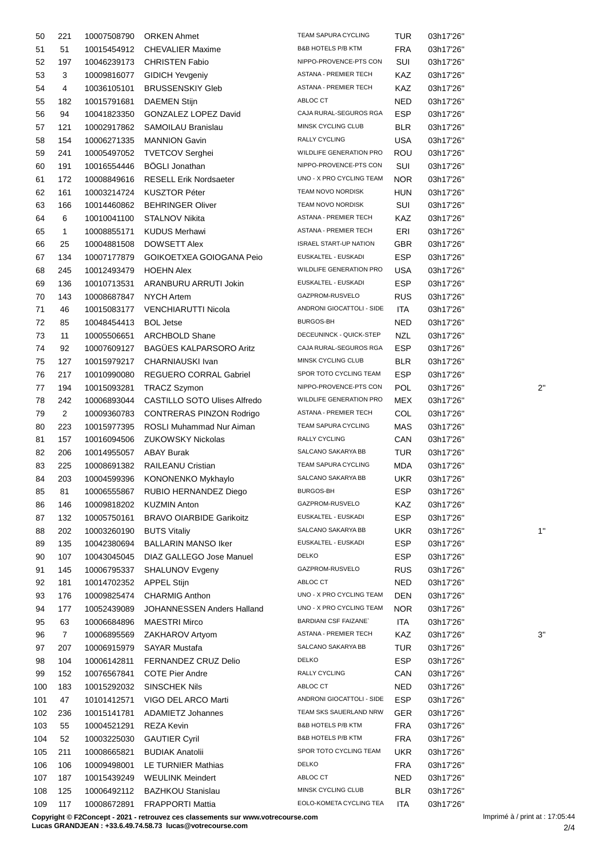| 50  | 221            | 10007508790 | <b>ORKEN Ahmet</b>                | TEAM SAPURA CYCLING            | <b>TUR</b> | 03h17'26" |              |
|-----|----------------|-------------|-----------------------------------|--------------------------------|------------|-----------|--------------|
| 51  | 51             | 10015454912 | <b>CHEVALIER Maxime</b>           | <b>B&amp;B HOTELS P/B KTM</b>  | <b>FRA</b> | 03h17'26" |              |
| 52  | 197            | 10046239173 | <b>CHRISTEN Fabio</b>             | NIPPO-PROVENCE-PTS CON         | SUI        | 03h17'26" |              |
| 53  | 3              | 10009816077 | <b>GIDICH Yevgeniy</b>            | ASTANA - PREMIER TECH          | KAZ        | 03h17'26" |              |
| 54  | 4              | 10036105101 | <b>BRUSSENSKIY Gleb</b>           | ASTANA - PREMIER TECH          | KAZ        | 03h17'26" |              |
| 55  | 182            | 10015791681 | <b>DAEMEN Stijn</b>               | ABLOC CT                       | NED        | 03h17'26" |              |
| 56  | 94             | 10041823350 | GONZALEZ LOPEZ David              | CAJA RURAL-SEGUROS RGA         | <b>ESP</b> | 03h17'26" |              |
|     |                |             |                                   |                                |            |           |              |
| 57  | 121            | 10002917862 | SAMOILAU Branislau                | MINSK CYCLING CLUB             | <b>BLR</b> | 03h17'26" |              |
| 58  | 154            | 10006271335 | <b>MANNION Gavin</b>              | RALLY CYCLING                  | USA        | 03h17'26" |              |
| 59  | 241            | 10005497052 | <b>TVETCOV Serghei</b>            | WILDLIFE GENERATION PRO        | ROU        | 03h17'26" |              |
| 60  | 191            | 10016554446 | <b>BÖGLI Jonathan</b>             | NIPPO-PROVENCE-PTS CON         | SUI        | 03h17'26" |              |
| 61  | 172            | 10008849616 | <b>RESELL Erik Nordsaeter</b>     | UNO - X PRO CYCLING TEAM       | <b>NOR</b> | 03h17'26" |              |
| 62  | 161            | 10003214724 | <b>KUSZTOR Péter</b>              | TEAM NOVO NORDISK              | <b>HUN</b> | 03h17'26" |              |
| 63  | 166            | 10014460862 | <b>BEHRINGER Oliver</b>           | TEAM NOVO NORDISK              | SUI        | 03h17'26" |              |
| 64  | 6              | 10010041100 | <b>STALNOV Nikita</b>             | ASTANA - PREMIER TECH          | KAZ        | 03h17'26" |              |
| 65  | $\mathbf{1}$   | 10008855171 | <b>KUDUS Merhawi</b>              | ASTANA - PREMIER TECH          | ERI        | 03h17'26" |              |
| 66  | 25             | 10004881508 | <b>DOWSETT Alex</b>               | <b>ISRAEL START-UP NATION</b>  | GBR        | 03h17'26" |              |
| 67  | 134            | 10007177879 | GOIKOETXEA GOIOGANA Peio          | EUSKALTEL - EUSKADI            | <b>ESP</b> | 03h17'26" |              |
|     |                |             |                                   | WILDLIFE GENERATION PRO        |            |           |              |
| 68  | 245            | 10012493479 | <b>HOEHN Alex</b>                 |                                | USA        | 03h17'26" |              |
| 69  | 136            | 10010713531 | ARANBURU ARRUTI Jokin             | EUSKALTEL - EUSKADI            | <b>ESP</b> | 03h17'26" |              |
| 70  | 143            | 10008687847 | <b>NYCH Artem</b>                 | GAZPROM-RUSVELO                | <b>RUS</b> | 03h17'26" |              |
| 71  | 46             | 10015083177 | <b>VENCHIARUTTI Nicola</b>        | ANDRONI GIOCATTOLI - SIDE      | <b>ITA</b> | 03h17'26" |              |
| 72  | 85             | 10048454413 | <b>BOL Jetse</b>                  | BURGOS-BH                      | NED        | 03h17'26" |              |
| 73  | 11             | 10005506651 | <b>ARCHBOLD Shane</b>             | DECEUNINCK - QUICK-STEP        | NZL        | 03h17'26" |              |
| 74  | 92             | 10007609127 | BAGÜES KALPARSORO Aritz           | CAJA RURAL-SEGUROS RGA         | <b>ESP</b> | 03h17'26" |              |
| 75  | 127            | 10015979217 | CHARNIAUSKI Ivan                  | MINSK CYCLING CLUB             | <b>BLR</b> | 03h17'26" |              |
| 76  | 217            | 10010990080 | <b>REGUERO CORRAL Gabriel</b>     | SPOR TOTO CYCLING TEAM         | <b>ESP</b> | 03h17'26" |              |
| 77  | 194            | 10015093281 | <b>TRACZ Szymon</b>               | NIPPO-PROVENCE-PTS CON         | <b>POL</b> | 03h17'26" | $2^{\prime}$ |
| 78  | 242            | 10006893044 | CASTILLO SOTO Ulises Alfredo      | <b>WILDLIFE GENERATION PRO</b> | MEX        | 03h17'26" |              |
| 79  | $\overline{2}$ | 10009360783 | CONTRERAS PINZON Rodrigo          | ASTANA - PREMIER TECH          | COL        | 03h17'26" |              |
|     |                |             |                                   | TEAM SAPURA CYCLING            |            | 03h17'26" |              |
| 80  | 223            | 10015977395 | ROSLI Muhammad Nur Aiman          |                                | MAS        |           |              |
| 81  | 157            | 10016094506 | <b>ZUKOWSKY Nickolas</b>          | RALLY CYCLING                  | CAN        | 03h17'26" |              |
| 82  | 206            | 10014955057 | <b>ABAY Burak</b>                 | SALCANO SAKARYA BB             | <b>TUR</b> | 03h17'26" |              |
| 83  | 225            | 10008691382 | RAILEANU Cristian                 | TEAM SAPURA CYCLING            | MDA        | 03h17'26" |              |
| 84  | 203            |             | 10004599396 KONONENKO Mykhaylo    | SALCANO SAKARYA BB             | UKR.       | 03h17'26" |              |
| 85  | 81             |             | 10006555867 RUBIO HERNANDEZ Diego | BURGOS-BH                      | ESP        | 03h17'26" |              |
| 86  | 146            | 10009818202 | <b>KUZMIN Anton</b>               | GAZPROM-RUSVELO                | KAZ        | 03h17'26" |              |
| 87  | 132            | 10005750161 | <b>BRAVO OIARBIDE Garikoitz</b>   | EUSKALTEL - EUSKADI            | <b>ESP</b> | 03h17'26" |              |
| 88  | 202            | 10003260190 | <b>BUTS Vitaliy</b>               | SALCANO SAKARYA BB             | <b>UKR</b> | 03h17'26" | 1'           |
| 89  | 135            | 10042380694 | <b>BALLARIN MANSO Iker</b>        | EUSKALTEL - EUSKADI            | <b>ESP</b> | 03h17'26" |              |
| 90  | 107            | 10043045045 | DIAZ GALLEGO Jose Manuel          | <b>DELKO</b>                   | <b>ESP</b> | 03h17'26" |              |
| 91  | 145            | 10006795337 | SHALUNOV Evgeny                   | GAZPROM-RUSVELO                | <b>RUS</b> | 03h17'26" |              |
| 92  | 181            | 10014702352 | <b>APPEL Stijn</b>                | ABLOC CT                       | NED        | 03h17'26" |              |
| 93  | 176            | 10009825474 | <b>CHARMIG Anthon</b>             | UNO - X PRO CYCLING TEAM       | DEN        | 03h17'26" |              |
|     |                |             |                                   | UNO - X PRO CYCLING TEAM       |            |           |              |
| 94  | 177            | 10052439089 | JOHANNESSEN Anders Halland        |                                | NOR        | 03h17'26" |              |
| 95  | 63             | 10006684896 | <b>MAESTRI Mirco</b>              | <b>BARDIANI CSF FAIZANE</b>    | ITA        | 03h17'26" |              |
| 96  | $\mathbf{7}$   | 10006895569 | ZAKHAROV Artyom                   | ASTANA - PREMIER TECH          | KAZ        | 03h17'26" | 3'           |
| 97  | 207            | 10006915979 | <b>SAYAR Mustafa</b>              | SALCANO SAKARYA BB             | <b>TUR</b> | 03h17'26" |              |
| 98  | 104            | 10006142811 | FERNANDEZ CRUZ Delio              | <b>DELKO</b>                   | <b>ESP</b> | 03h17'26" |              |
| 99  | 152            | 10076567841 | <b>COTE Pier Andre</b>            | RALLY CYCLING                  | CAN        | 03h17'26" |              |
| 100 | 183            | 10015292032 | <b>SINSCHEK Nils</b>              | ABLOC CT                       | NED        | 03h17'26" |              |
| 101 | 47             | 10101412571 | VIGO DEL ARCO Marti               | ANDRONI GIOCATTOLI - SIDE      | <b>ESP</b> | 03h17'26" |              |
| 102 | 236            | 10015141781 | ADAMIETZ Johannes                 | TEAM SKS SAUERLAND NRW         | GER        | 03h17'26" |              |
| 103 | 55             | 10004521291 | REZA Kevin                        | B&B HOTELS P/B KTM             | <b>FRA</b> | 03h17'26" |              |
| 104 | 52             | 10003225030 | <b>GAUTIER Cyril</b>              | <b>B&amp;B HOTELS P/B KTM</b>  | <b>FRA</b> | 03h17'26" |              |
| 105 | 211            | 10008665821 | <b>BUDIAK Anatolii</b>            | SPOR TOTO CYCLING TEAM         | <b>UKR</b> | 03h17'26" |              |
|     |                |             | LE TURNIER Mathias                | <b>DELKO</b>                   |            |           |              |
| 106 | 106            | 10009498001 |                                   | ABLOC CT                       | <b>FRA</b> | 03h17'26" |              |
| 107 | 187            | 10015439249 | <b>WEULINK Meindert</b>           |                                | NED        | 03h17'26" |              |
| 108 | 125            | 10006492112 | <b>BAZHKOU Stanislau</b>          | MINSK CYCLING CLUB             | <b>BLR</b> | 03h17'26" |              |
| 109 | 117            | 10008672891 | <b>FRAPPORTI Mattia</b>           | EOLO-KOMETA CYCLING TEA        | <b>ITA</b> | 03h17'26" |              |

**Copyright © F2Concept - 2021 - retrouvez ces classements sur www.votrecourse.com**

**Lucas GRANDJEAN : +33.6.49.74.58.73 lucas@votrecourse.com**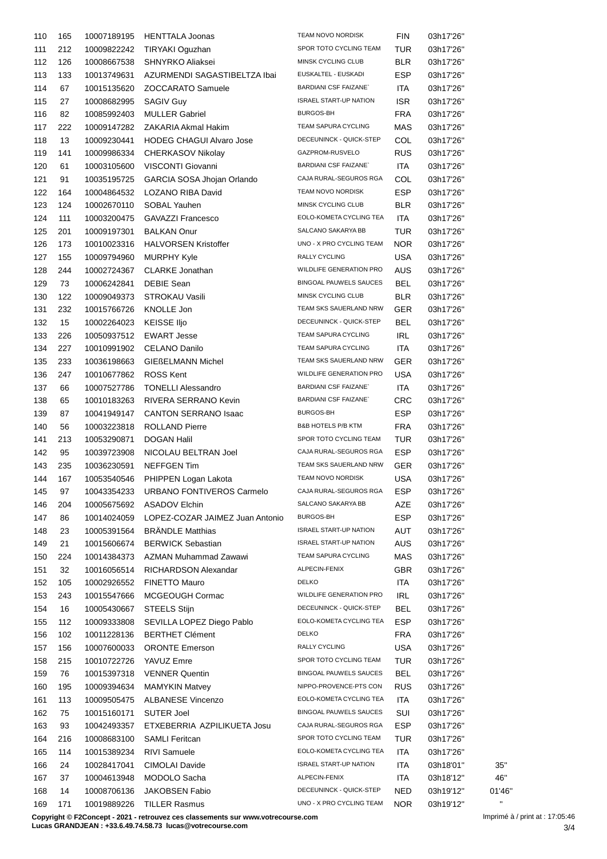| 110 | 165 | 10007189195 | <b>HENTTALA Joonas</b>          | <b>TEAM NOVO NORDISK</b>      | FIN        | 03h17'26" |              |
|-----|-----|-------------|---------------------------------|-------------------------------|------------|-----------|--------------|
| 111 | 212 | 10009822242 | TIRYAKI Oguzhan                 | SPOR TOTO CYCLING TEAM        | TUR        | 03h17'26" |              |
| 112 | 126 | 10008667538 | SHNYRKO Aliaksei                | MINSK CYCLING CLUB            | <b>BLR</b> | 03h17'26" |              |
| 113 | 133 | 10013749631 | AZURMENDI SAGASTIBELTZA Ibai    | EUSKALTEL - EUSKADI           | ESP        | 03h17'26" |              |
| 114 | 67  | 10015135620 | <b>ZOCCARATO Samuele</b>        | <b>BARDIANI CSF FAIZANE</b>   | ITA        | 03h17'26" |              |
| 115 | 27  | 10008682995 | <b>SAGIV Guy</b>                | <b>ISRAEL START-UP NATION</b> | ISR.       | 03h17'26" |              |
| 116 | 82  | 10085992403 | <b>MULLER Gabriel</b>           | BURGOS-BH                     | FRA        | 03h17'26" |              |
| 117 | 222 | 10009147282 | ZAKARIA Akmal Hakim             | TEAM SAPURA CYCLING           | MAS        | 03h17'26" |              |
| 118 | 13  | 10009230441 | <b>HODEG CHAGUI Alvaro Jose</b> | DECEUNINCK - QUICK-STEP       | COL        | 03h17'26" |              |
|     |     |             |                                 | GAZPROM-RUSVELO               |            |           |              |
| 119 | 141 | 10009986334 | CHERKASOV Nikolay               | <b>BARDIANI CSF FAIZANE</b>   | <b>RUS</b> | 03h17'26" |              |
| 120 | 61  | 10003105600 | VISCONTI Giovanni               |                               | ITA        | 03h17'26" |              |
| 121 | 91  | 10035195725 | GARCIA SOSA Jhojan Orlando      | CAJA RURAL-SEGUROS RGA        | COL        | 03h17'26" |              |
| 122 | 164 | 10004864532 | LOZANO RIBA David               | TEAM NOVO NORDISK             | <b>ESP</b> | 03h17'26" |              |
| 123 | 124 | 10002670110 | SOBAL Yauhen                    | MINSK CYCLING CLUB            | <b>BLR</b> | 03h17'26" |              |
| 124 | 111 | 10003200475 | GAVAZZI Francesco               | EOLO-KOMETA CYCLING TEA       | ITA        | 03h17'26" |              |
| 125 | 201 | 10009197301 | <b>BALKAN Onur</b>              | SALCANO SAKARYA BB            | <b>TUR</b> | 03h17'26" |              |
| 126 | 173 | 10010023316 | <b>HALVORSEN Kristoffer</b>     | UNO - X PRO CYCLING TEAM      | NOR.       | 03h17'26" |              |
| 127 | 155 | 10009794960 | <b>MURPHY Kyle</b>              | RALLY CYCLING                 | <b>USA</b> | 03h17'26" |              |
| 128 | 244 | 10002724367 | CLARKE Jonathan                 | WILDLIFE GENERATION PRO       | <b>AUS</b> | 03h17'26" |              |
| 129 | 73  | 10006242841 | <b>DEBIE Sean</b>               | <b>BINGOAL PAUWELS SAUCES</b> | <b>BEL</b> | 03h17'26" |              |
| 130 | 122 | 10009049373 | STROKAU Vasili                  | MINSK CYCLING CLUB            | <b>BLR</b> | 03h17'26" |              |
| 131 | 232 | 10015766726 | KNOLLE Jon                      | TEAM SKS SAUERLAND NRW        | <b>GER</b> | 03h17'26" |              |
| 132 | 15  | 10002264023 | <b>KEISSE IIjo</b>              | DECEUNINCK - QUICK-STEP       | <b>BEL</b> | 03h17'26" |              |
| 133 | 226 | 10050937512 | <b>EWART Jesse</b>              | TEAM SAPURA CYCLING           | IRL        | 03h17'26" |              |
| 134 | 227 | 10010991902 | <b>CELANO Danilo</b>            | TEAM SAPURA CYCLING           | ITA        | 03h17'26" |              |
| 135 | 233 | 10036198663 | <b>GIEßELMANN Michel</b>        | TEAM SKS SAUERLAND NRW        | GER        | 03h17'26" |              |
|     |     |             |                                 | WILDLIFE GENERATION PRO       |            |           |              |
| 136 | 247 | 10010677862 | <b>ROSS Kent</b>                |                               | USA        | 03h17'26" |              |
| 137 | 66  | 10007527786 | <b>TONELLI Alessandro</b>       | <b>BARDIANI CSF FAIZANE</b>   | <b>ITA</b> | 03h17'26" |              |
| 138 | 65  | 10010183263 | RIVERA SERRANO Kevin            | <b>BARDIANI CSF FAIZANE</b>   | CRC        | 03h17'26" |              |
| 139 | 87  | 10041949147 | CANTON SERRANO Isaac            | BURGOS-BH                     | <b>ESP</b> | 03h17'26" |              |
| 140 | 56  | 10003223818 | <b>ROLLAND Pierre</b>           | <b>B&amp;B HOTELS P/B KTM</b> | <b>FRA</b> | 03h17'26" |              |
| 141 | 213 | 10053290871 | <b>DOGAN Halil</b>              | SPOR TOTO CYCLING TEAM        | TUR        | 03h17'26" |              |
| 142 | 95  | 10039723908 | NICOLAU BELTRAN Joel            | CAJA RURAL-SEGUROS RGA        | <b>ESP</b> | 03h17'26" |              |
| 143 | 235 | 10036230591 | <b>NEFFGEN Tim</b>              | TEAM SKS SAUERLAND NRW        | GER        | 03h17'26" |              |
| 144 | 167 | 10053540546 | PHIPPEN Logan Lakota            | TEAM NOVO NORDISK             | <b>USA</b> | 03h17'26" |              |
| 145 | 97  | 10043354233 | URBANO FONTIVEROS Carmelo       | CAJA RURAL-SEGUROS RGA        | ESP        | 03h17'26" |              |
| 146 | 204 | 10005675692 | ASADOV Elchin                   | SALCANO SAKARYA BB            | AZE        | 03h17'26" |              |
| 147 | 86  | 10014024059 | LOPEZ-COZAR JAIMEZ Juan Antonio | BURGOS-BH                     | <b>ESP</b> | 03h17'26" |              |
| 148 | 23  | 10005391564 | <b>BRÄNDLE Matthias</b>         | <b>ISRAEL START-UP NATION</b> | AUT        | 03h17'26" |              |
| 149 | 21  | 10015606674 | <b>BERWICK Sebastian</b>        | <b>ISRAEL START-UP NATION</b> | AUS        | 03h17'26" |              |
| 150 | 224 | 10014384373 | AZMAN Muhammad Zawawi           | TEAM SAPURA CYCLING           | MAS        | 03h17'26" |              |
| 151 | 32  | 10016056514 | RICHARDSON Alexandar            | ALPECIN-FENIX                 | <b>GBR</b> | 03h17'26" |              |
| 152 | 105 | 10002926552 | <b>FINETTO Mauro</b>            | <b>DELKO</b>                  | <b>ITA</b> | 03h17'26" |              |
| 153 | 243 | 10015547666 | MCGEOUGH Cormac                 | WILDLIFE GENERATION PRO       | <b>IRL</b> | 03h17'26" |              |
| 154 |     |             |                                 | DECEUNINCK - QUICK-STEP       | <b>BEL</b> |           |              |
|     | 16  | 10005430667 | STEELS Stijn                    | EOLO-KOMETA CYCLING TEA       |            | 03h17'26" |              |
| 155 | 112 | 10009333808 | SEVILLA LOPEZ Diego Pablo       |                               | ESP        | 03h17'26" |              |
| 156 | 102 | 10011228136 | <b>BERTHET Clément</b>          | <b>DELKO</b>                  | FRA        | 03h17'26" |              |
| 157 | 156 | 10007600033 | <b>ORONTE Emerson</b>           | RALLY CYCLING                 | <b>USA</b> | 03h17'26" |              |
| 158 | 215 | 10010722726 | YAVUZ Emre                      | SPOR TOTO CYCLING TEAM        | TUR        | 03h17'26" |              |
| 159 | 76  | 10015397318 | <b>VENNER Quentin</b>           | BINGOAL PAUWELS SAUCES        | <b>BEL</b> | 03h17'26" |              |
| 160 | 195 | 10009394634 | <b>MAMYKIN Matvey</b>           | NIPPO-PROVENCE-PTS CON        | <b>RUS</b> | 03h17'26" |              |
| 161 | 113 | 10009505475 | <b>ALBANESE Vincenzo</b>        | EOLO-KOMETA CYCLING TEA       | <b>ITA</b> | 03h17'26" |              |
| 162 | 75  | 10015160171 | SUTER Joel                      | BINGOAL PAUWELS SAUCES        | SUI        | 03h17'26" |              |
| 163 | 93  | 10042493357 | ETXEBERRIA AZPILIKUETA Josu     | CAJA RURAL-SEGUROS RGA        | ESP        | 03h17'26" |              |
| 164 | 216 | 10008683100 | SAMLI Feritcan                  | SPOR TOTO CYCLING TEAM        | TUR        | 03h17'26" |              |
| 165 | 114 | 10015389234 | <b>RIVI Samuele</b>             | EOLO-KOMETA CYCLING TEA       | ITA        | 03h17'26" |              |
| 166 | 24  | 10028417041 | CIMOLAI Davide                  | <b>ISRAEL START-UP NATION</b> | ITA        | 03h18'01" | 35"          |
| 167 | 37  | 10004613948 | MODOLO Sacha                    | ALPECIN-FENIX                 | <b>ITA</b> | 03h18'12" | 46"          |
| 168 | 14  | 10008706136 | <b>JAKOBSEN Fabio</b>           | DECEUNINCK - QUICK-STEP       | <b>NED</b> | 03h19'12" | 01'46'       |
| 169 | 171 | 10019889226 | <b>TILLER Rasmus</b>            | UNO - X PRO CYCLING TEAM      | <b>NOR</b> | 03h19'12" | $\mathbf{H}$ |
|     |     |             |                                 |                               |            |           |              |

**Copyright © F2Concept - 2021 - retrouvez ces classements sur www.votrecourse.com**

**Lucas GRANDJEAN : +33.6.49.74.58.73 lucas@votrecourse.com**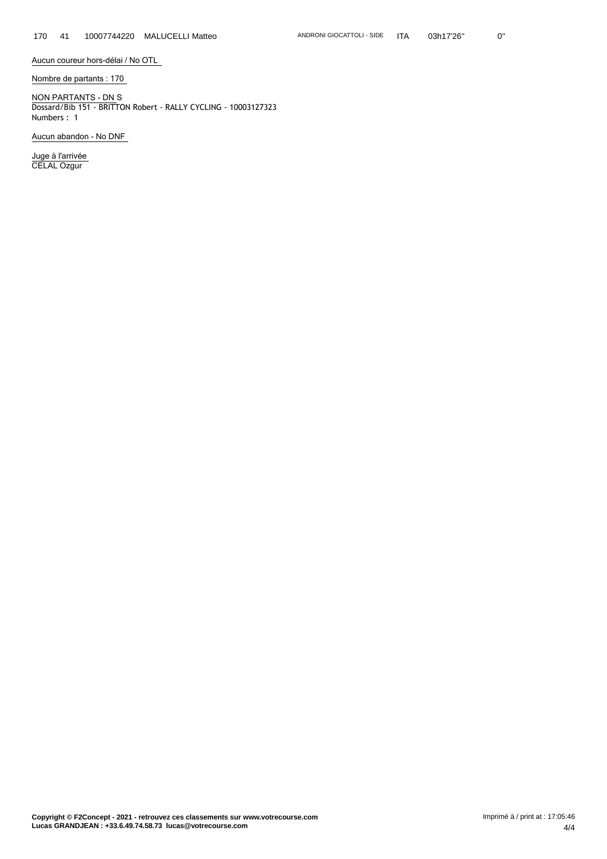**Aucun coureur hors-délai / No OTL**

**Nombre de partants : 170**

**NON PARTANTS - DN** S Dossard/Bib 151 - BRITTON Robert - RALLY CYCLING - 10003127323 Numbers : 1

**Aucun abandon - No DNF**

**Juge à l'arrivée** CELAL Ozgur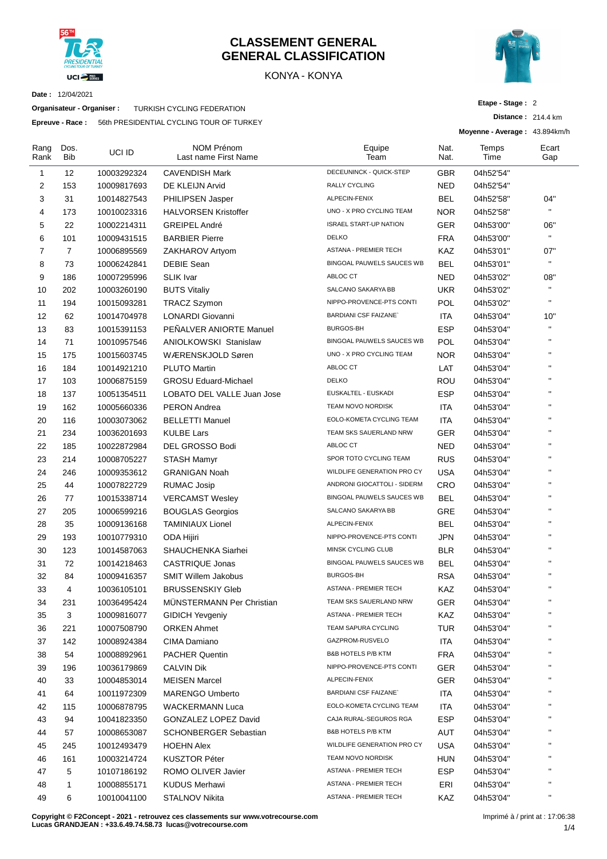

#### **CLASSEMENT GENERAL GENERAL CLASSIFICATION**

#### KONYA - KONYA



**Etape - Stage :** 2

**Moyenne - Average :** 43.894km/h

**Distance :** 214.4 km

**Date :** 12/04/2021

**Organisateur - Organiser :** TURKISH CYCLING FEDERATION

**Epreuve - Race :** 56th PRESIDENTIAL CYCLING TOUR OF TURKEY

| Rang<br>Rank   | Dos.<br>Bib    | UCI ID      | <b>NOM Prénom</b><br>Last name First Name         | Equipe<br>Team                | Nat.<br>Nat. | Temps<br>Time | Ecart<br>Gap |
|----------------|----------------|-------------|---------------------------------------------------|-------------------------------|--------------|---------------|--------------|
| 1              | 12             | 10003292324 | <b>CAVENDISH Mark</b>                             | DECEUNINCK - QUICK-STEP       | GBR          | 04h52'54"     |              |
| 2              | 153            | 10009817693 | DE KLEIJN Arvid                                   | RALLY CYCLING                 | NED          | 04h52'54"     |              |
| 3              | 31             | 10014827543 | PHILIPSEN Jasper                                  | ALPECIN-FENIX                 | <b>BEL</b>   | 04h52'58"     | 04"          |
| 4              | 173            | 10010023316 | <b>HALVORSEN Kristoffer</b>                       | UNO - X PRO CYCLING TEAM      | <b>NOR</b>   | 04h52'58"     | $\mathbf{H}$ |
| 5              | 22             | 10002214311 | GREIPEL André                                     | <b>ISRAEL START-UP NATION</b> | GER          | 04h53'00"     | 06"          |
| 6              | 101            | 10009431515 | <b>BARBIER Pierre</b>                             | <b>DELKO</b>                  | <b>FRA</b>   | 04h53'00"     | $\mathbf{H}$ |
| $\overline{7}$ | $\overline{7}$ | 10006895569 | ZAKHAROV Artyom                                   | <b>ASTANA - PREMIER TECH</b>  | <b>KAZ</b>   | 04h53'01"     | 07"          |
| 8              | 73             | 10006242841 | <b>DEBIE Sean</b>                                 | BINGOAL PAUWELS SAUCES WB     | <b>BEL</b>   | 04h53'01"     | $\mathbf{H}$ |
| 9              | 186            | 10007295996 | <b>SLIK Ivar</b>                                  | ABLOC CT                      | <b>NED</b>   | 04h53'02"     | 08"          |
| 10             | 202            | 10003260190 | <b>BUTS Vitaliy</b>                               | SALCANO SAKARYA BB            | <b>UKR</b>   | 04h53'02"     | $\mathbf{H}$ |
| 11             | 194            | 10015093281 | <b>TRACZ Szymon</b>                               | NIPPO-PROVENCE-PTS CONTI      | <b>POL</b>   | 04h53'02"     | $\mathbf{H}$ |
| 12             | 62             | 10014704978 | LONARDI Giovanni                                  | <b>BARDIANI CSF FAIZANE</b>   | ITA          | 04h53'04"     | 10"          |
| 13             | 83             | 10015391153 | PENALVER ANIORTE Manuel                           | <b>BURGOS-BH</b>              | <b>ESP</b>   | 04h53'04"     | $\mathbf{H}$ |
| 14             | 71             | 10010957546 | <b>ANIOLKOWSKI Stanislaw</b>                      | BINGOAL PAUWELS SAUCES WB     | POL          | 04h53'04"     | $\mathbf{H}$ |
| 15             | 175            | 10015603745 | WÆRENSKJOLD Søren                                 | UNO - X PRO CYCLING TEAM      | NOR          | 04h53'04"     | $\mathbf{H}$ |
| 16             | 184            | 10014921210 | <b>PLUTO Martin</b>                               | ABLOC CT                      | LAT          | 04h53'04"     | $\mathbf{H}$ |
| 17             | 103            | 10006875159 | <b>GROSU Eduard-Michael</b>                       | <b>DELKO</b>                  | ROU          | 04h53'04"     | $\mathbf{H}$ |
| 18             | 137            | 10051354511 | LOBATO DEL VALLE Juan Jose                        | EUSKALTEL - EUSKADI           | <b>ESP</b>   | 04h53'04"     | $\mathbf{H}$ |
| 19             | 162            | 10005660336 | <b>PERON Andrea</b>                               | <b>TEAM NOVO NORDISK</b>      | ITA          | 04h53'04"     | $\mathbf{H}$ |
| 20             | 116            | 10003073062 | <b>BELLETTI Manuel</b>                            | EOLO-KOMETA CYCLING TEAM      | ITA          | 04h53'04"     | $\mathbf{H}$ |
| 21             | 234            | 10036201693 | <b>KULBE Lars</b>                                 | TEAM SKS SAUERLAND NRW        | GER          | 04h53'04"     | $\mathbf{H}$ |
| 22             | 185            | 10022872984 | DEL GROSSO Bodi                                   | ABLOC CT                      | NED          | 04h53'04"     | $\mathbf{H}$ |
| 23             | 214            | 10008705227 | <b>STASH Mamyr</b>                                | SPOR TOTO CYCLING TEAM        | <b>RUS</b>   | 04h53'04"     | $\mathbf{H}$ |
| 24             | 246            | 10009353612 | <b>GRANIGAN Noah</b>                              | WILDLIFE GENERATION PRO CY    | <b>USA</b>   | 04h53'04"     | $\mathbf{H}$ |
| 25             | 44             | 10007822729 | <b>RUMAC Josip</b>                                | ANDRONI GIOCATTOLI - SIDERM   | CRO          | 04h53'04"     | $\mathbf{H}$ |
| 26             | 77             | 10015338714 |                                                   | BINGOAL PAUWELS SAUCES WB     | BEL          |               | $\mathbf{H}$ |
| 27             | 205            | 10006599216 | <b>VERCAMST Wesley</b><br><b>BOUGLAS Georgios</b> | SALCANO SAKARYA BB            | GRE          | 04h53'04"     | $\mathbf{H}$ |
|                | 35             |             |                                                   | ALPECIN-FENIX                 | <b>BEL</b>   | 04h53'04"     | $\mathbf{H}$ |
| 28             |                | 10009136168 | <b>TAMINIAUX Lionel</b>                           | NIPPO-PROVENCE-PTS CONTI      |              | 04h53'04"     | $\mathbf{H}$ |
| 29             | 193            | 10010779310 | ODA Hijiri                                        | MINSK CYCLING CLUB            | <b>JPN</b>   | 04h53'04"     | $\mathbf{H}$ |
| 30             | 123            | 10014587063 | SHAUCHENKA Siarhei                                | BINGOAL PAUWELS SAUCES WB     | <b>BLR</b>   | 04h53'04"     | $\mathbf{u}$ |
| 31             | 72             | 10014218463 | <b>CASTRIQUE Jonas</b>                            | <b>BURGOS-BH</b>              | BEL          | 04h53'04"     | $\mathbf{H}$ |
| 32             | 84             | 10009416357 | <b>SMIT Willem Jakobus</b>                        |                               | <b>RSA</b>   | 04h53'04"     | $\mathbf{H}$ |
| 33             | 4              | 10036105101 | <b>BRUSSENSKIY Gleb</b>                           | <b>ASTANA - PREMIER TECH</b>  | <b>KAZ</b>   | 04h53'04"     | $\mathbf{H}$ |
| 34             | 231            | 10036495424 | MÜNSTERMANN Per Christian                         | TEAM SKS SAUERLAND NRW        | GER          | 04h53'04"     | $\mathbf{H}$ |
| 35             | 3              | 10009816077 | <b>GIDICH Yevgeniy</b>                            | <b>ASTANA - PREMIER TECH</b>  | KAZ          | 04h53'04"     | п            |
| 36             | 221            | 10007508790 | <b>ORKEN Ahmet</b>                                | TEAM SAPURA CYCLING           | <b>TUR</b>   | 04h53'04"     |              |
| 37             | 142            | 10008924384 | CIMA Damiano                                      | GAZPROM-RUSVELO               | ITA          | 04h53'04"     | н            |
| 38             | 54             | 10008892961 | <b>PACHER Quentin</b>                             | B&B HOTELS P/B KTM            | <b>FRA</b>   | 04h53'04"     | н            |
| 39             | 196            | 10036179869 | <b>CALVIN Dik</b>                                 | NIPPO-PROVENCE-PTS CONTI      | <b>GER</b>   | 04h53'04"     | н            |
| 40             | 33             | 10004853014 | <b>MEISEN Marcel</b>                              | ALPECIN-FENIX                 | <b>GER</b>   | 04h53'04"     |              |
| 41             | 64             | 10011972309 | <b>MARENGO Umberto</b>                            | <b>BARDIANI CSF FAIZANE`</b>  | ITA          | 04h53'04"     | $\mathbf{H}$ |
| 42             | 115            | 10006878795 | <b>WACKERMANN Luca</b>                            | EOLO-KOMETA CYCLING TEAM      | ITA          | 04h53'04"     | н            |
| 43             | 94             | 10041823350 | GONZALEZ LOPEZ David                              | CAJA RURAL-SEGUROS RGA        | <b>ESP</b>   | 04h53'04"     | $\mathbf{H}$ |
| 44             | 57             | 10008653087 | <b>SCHONBERGER Sebastian</b>                      | B&B HOTELS P/B KTM            | AUT          | 04h53'04"     | $\mathbf{H}$ |
| 45             | 245            | 10012493479 | <b>HOEHN Alex</b>                                 | WILDLIFE GENERATION PRO CY    | <b>USA</b>   | 04h53'04"     | $\mathbf{H}$ |
| 46             | 161            | 10003214724 | <b>KUSZTOR Péter</b>                              | TEAM NOVO NORDISK             | HUN          | 04h53'04"     | $\mathbf{H}$ |
| 47             | 5              | 10107186192 | ROMO OLIVER Javier                                | ASTANA - PREMIER TECH         | <b>ESP</b>   | 04h53'04"     | $\mathbf{H}$ |
| 48             | 1              | 10008855171 | <b>KUDUS Merhawi</b>                              | ASTANA - PREMIER TECH         | ERI          | 04h53'04"     | н            |
| 49             | 6              | 10010041100 | STALNOV Nikita                                    | <b>ASTANA - PREMIER TECH</b>  | KAZ          | 04h53'04"     | $\mathbf{H}$ |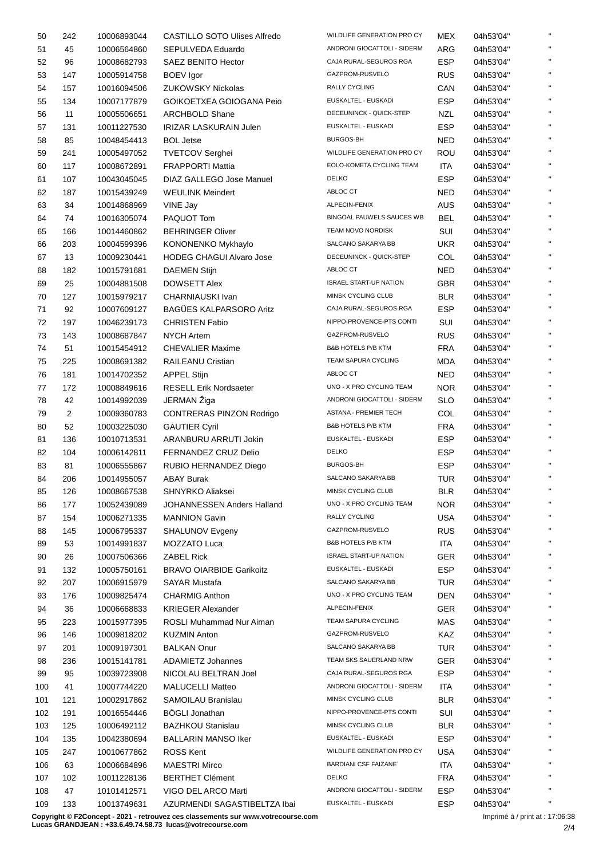| 50  | 242 | 10006893044 | CASTILLO SOTO Ulises Alfredo    | WILDLIFE GENERATION PRO CY    | <b>MEX</b> | 04h53'04" | $\mathbf{H}$ |
|-----|-----|-------------|---------------------------------|-------------------------------|------------|-----------|--------------|
| 51  | 45  | 10006564860 | SEPULVEDA Eduardo               | ANDRONI GIOCATTOLI - SIDERM   | <b>ARG</b> | 04h53'04" | $\mathbf{H}$ |
| 52  | 96  | 10008682793 | SAEZ BENITO Hector              | CAJA RURAL-SEGUROS RGA        | <b>ESP</b> | 04h53'04" | $\mathbf{H}$ |
| 53  | 147 | 10005914758 | <b>BOEV</b> Igor                | GAZPROM-RUSVELO               | <b>RUS</b> | 04h53'04" | $\mathbf{H}$ |
| 54  | 157 | 10016094506 | <b>ZUKOWSKY Nickolas</b>        | <b>RALLY CYCLING</b>          | CAN        | 04h53'04" | $\mathbf{H}$ |
| 55  | 134 | 10007177879 | GOIKOETXEA GOIOGANA Peio        | EUSKALTEL - EUSKADI           | <b>ESP</b> | 04h53'04" | $\mathbf{H}$ |
| 56  | 11  | 10005506651 | <b>ARCHBOLD Shane</b>           | DECEUNINCK - QUICK-STEP       | <b>NZL</b> | 04h53'04" | $\mathbf{H}$ |
| 57  | 131 | 10011227530 | <b>IRIZAR LASKURAIN Julen</b>   | EUSKALTEL - EUSKADI           | <b>ESP</b> |           | $\mathbf{H}$ |
|     |     |             |                                 | <b>BURGOS-BH</b>              |            | 04h53'04" | $\mathbf{H}$ |
| 58  | 85  | 10048454413 | <b>BOL Jetse</b>                | WILDLIFE GENERATION PRO CY    | <b>NED</b> | 04h53'04" | $\mathbf{H}$ |
| 59  | 241 | 10005497052 | <b>TVETCOV Serghei</b>          |                               | ROU        | 04h53'04" | $\mathbf{H}$ |
| 60  | 117 | 10008672891 | <b>FRAPPORTI Mattia</b>         | EOLO-KOMETA CYCLING TEAM      | ITA        | 04h53'04" | $\mathbf{H}$ |
| 61  | 107 | 10043045045 | DIAZ GALLEGO Jose Manuel        | <b>DELKO</b>                  | <b>ESP</b> | 04h53'04" | $\mathbf{H}$ |
| 62  | 187 | 10015439249 | <b>WEULINK Meindert</b>         | ABLOC CT                      | <b>NED</b> | 04h53'04" |              |
| 63  | 34  | 10014868969 | VINE Jay                        | ALPECIN-FENIX                 | <b>AUS</b> | 04h53'04" | $\mathbf{H}$ |
| 64  | 74  | 10016305074 | PAQUOT Tom                      | BINGOAL PAUWELS SAUCES WB     | <b>BEL</b> | 04h53'04" | $\mathbf{H}$ |
| 65  | 166 | 10014460862 | <b>BEHRINGER Oliver</b>         | TEAM NOVO NORDISK             | SUI        | 04h53'04" | $\mathbf{u}$ |
| 66  | 203 | 10004599396 | KONONENKO Mykhaylo              | SALCANO SAKARYA BB            | <b>UKR</b> | 04h53'04" | $\mathbf{H}$ |
| 67  | 13  | 10009230441 | <b>HODEG CHAGUI Alvaro Jose</b> | DECEUNINCK - QUICK-STEP       | COL        | 04h53'04" | $\mathbf{H}$ |
| 68  | 182 | 10015791681 | <b>DAEMEN Stijn</b>             | ABLOC CT                      | <b>NED</b> | 04h53'04" | $\mathbf{H}$ |
| 69  | 25  | 10004881508 | <b>DOWSETT Alex</b>             | <b>ISRAEL START-UP NATION</b> | <b>GBR</b> | 04h53'04" | $\mathbf{H}$ |
| 70  | 127 | 10015979217 | CHARNIAUSKI Ivan                | MINSK CYCLING CLUB            | <b>BLR</b> | 04h53'04" | $\mathbf{H}$ |
| 71  | 92  | 10007609127 | <b>BAGÜES KALPARSORO Aritz</b>  | CAJA RURAL-SEGUROS RGA        | <b>ESP</b> | 04h53'04" | $\mathbf{H}$ |
| 72  | 197 | 10046239173 | <b>CHRISTEN Fabio</b>           | NIPPO-PROVENCE-PTS CONTI      | SUI        | 04h53'04" | $\mathbf{H}$ |
| 73  | 143 | 10008687847 | <b>NYCH Artem</b>               | GAZPROM-RUSVELO               | <b>RUS</b> | 04h53'04" | $\mathbf{H}$ |
| 74  | 51  | 10015454912 | <b>CHEVALIER Maxime</b>         | <b>B&amp;B HOTELS P/B KTM</b> | <b>FRA</b> | 04h53'04" | $\mathbf{H}$ |
| 75  | 225 | 10008691382 | <b>RAILEANU Cristian</b>        | TEAM SAPURA CYCLING           | MDA        | 04h53'04" | $\mathbf{H}$ |
| 76  | 181 | 10014702352 | <b>APPEL Stijn</b>              | ABLOC CT                      | <b>NED</b> | 04h53'04" | $\mathbf{H}$ |
| 77  | 172 |             | <b>RESELL Erik Nordsaeter</b>   | UNO - X PRO CYCLING TEAM      | <b>NOR</b> |           | $\mathbf{H}$ |
|     |     | 10008849616 |                                 | ANDRONI GIOCATTOLI - SIDERM   |            | 04h53'04" | $\mathbf{H}$ |
| 78  | 42  | 10014992039 | JERMAN Žiga                     |                               | <b>SLO</b> | 04h53'04" | $\mathbf{H}$ |
| 79  | 2   | 10009360783 | <b>CONTRERAS PINZON Rodrigo</b> | ASTANA - PREMIER TECH         | COL        | 04h53'04" | $\mathbf{H}$ |
| 80  | 52  | 10003225030 | <b>GAUTIER Cyril</b>            | <b>B&amp;B HOTELS P/B KTM</b> | <b>FRA</b> | 04h53'04" | $\mathbf{H}$ |
| 81  | 136 | 10010713531 | ARANBURU ARRUTI Jokin           | EUSKALTEL - EUSKADI           | <b>ESP</b> | 04h53'04" |              |
| 82  | 104 | 10006142811 | FERNANDEZ CRUZ Delio            | <b>DELKO</b>                  | <b>ESP</b> | 04h53'04" | $\mathbf{H}$ |
| 83  | 81  | 10006555867 | RUBIO HERNANDEZ Diego           | <b>BURGOS-BH</b>              | <b>ESP</b> | 04h53'04" | $\mathbf{H}$ |
| 84  | 206 | 10014955057 | <b>ABAY Burak</b>               | SALCANO SAKARYA BB            | TUR        | 04h53'04" | $\mathbf{u}$ |
| 85  | 126 | 10008667538 | SHNYRKO Aliaksei                | MINSK CYCLING CLUB            | BLR        | 04h53'04" |              |
| 86  | 177 | 10052439089 | JOHANNESSEN Anders Halland      | UNO - X PRO CYCLING TEAM      | <b>NOR</b> | 04h53'04" | $\mathbf{H}$ |
| 87  | 154 | 10006271335 | <b>MANNION Gavin</b>            | RALLY CYCLING                 | <b>USA</b> | 04h53'04" | $\mathbf{H}$ |
| 88  | 145 | 10006795337 | SHALUNOV Evgeny                 | GAZPROM-RUSVELO               | <b>RUS</b> | 04h53'04" | $\mathbf{H}$ |
| 89  | 53  | 10014991837 | MOZZATO Luca                    | <b>B&amp;B HOTELS P/B KTM</b> | ITA        | 04h53'04" | $\mathbf{H}$ |
| 90  | 26  | 10007506366 | <b>ZABEL Rick</b>               | <b>ISRAEL START-UP NATION</b> | <b>GER</b> | 04h53'04" | $\mathbf{H}$ |
| 91  | 132 | 10005750161 | <b>BRAVO OIARBIDE Garikoitz</b> | EUSKALTEL - EUSKADI           | <b>ESP</b> | 04h53'04" | $\mathbf{H}$ |
| 92  | 207 | 10006915979 | <b>SAYAR Mustafa</b>            | SALCANO SAKARYA BB            | <b>TUR</b> | 04h53'04" | $\mathbf{H}$ |
| 93  | 176 | 10009825474 | <b>CHARMIG Anthon</b>           | UNO - X PRO CYCLING TEAM      | <b>DEN</b> | 04h53'04" | $\mathbf{H}$ |
| 94  | 36  | 10006668833 | <b>KRIEGER Alexander</b>        | ALPECIN-FENIX                 | <b>GER</b> | 04h53'04" | $\mathbf{H}$ |
| 95  | 223 | 10015977395 | ROSLI Muhammad Nur Aiman        | TEAM SAPURA CYCLING           | MAS        | 04h53'04" | $\mathbf{H}$ |
| 96  | 146 | 10009818202 | <b>KUZMIN Anton</b>             | GAZPROM-RUSVELO               | KAZ        | 04h53'04" | $\mathbf{H}$ |
| 97  | 201 | 10009197301 | <b>BALKAN Onur</b>              | SALCANO SAKARYA BB            | <b>TUR</b> | 04h53'04" | $\mathbf{H}$ |
| 98  | 236 | 10015141781 | ADAMIETZ Johannes               | TEAM SKS SAUERLAND NRW        | <b>GER</b> | 04h53'04" | $\mathbf{H}$ |
| 99  | 95  |             | NICOLAU BELTRAN Joel            | CAJA RURAL-SEGUROS RGA        | <b>ESP</b> | 04h53'04" | $\mathbf{H}$ |
|     |     | 10039723908 |                                 | ANDRONI GIOCATTOLI - SIDERM   |            |           | $\mathbf{H}$ |
| 100 | 41  | 10007744220 | <b>MALUCELLI Matteo</b>         |                               | ITA        | 04h53'04" | $\mathbf{H}$ |
| 101 | 121 | 10002917862 | SAMOILAU Branislau              | MINSK CYCLING CLUB            | <b>BLR</b> | 04h53'04" | $\mathbf{H}$ |
| 102 | 191 | 10016554446 | <b>BÖGLI Jonathan</b>           | NIPPO-PROVENCE-PTS CONTI      | SUI        | 04h53'04" |              |
| 103 | 125 | 10006492112 | <b>BAZHKOU Stanislau</b>        | MINSK CYCLING CLUB            | <b>BLR</b> | 04h53'04" | $\mathbf{H}$ |
| 104 | 135 | 10042380694 | <b>BALLARIN MANSO Iker</b>      | EUSKALTEL - EUSKADI           | <b>ESP</b> | 04h53'04" | $\mathbf{H}$ |
| 105 | 247 | 10010677862 | <b>ROSS Kent</b>                | WILDLIFE GENERATION PRO CY    | USA        | 04h53'04" | $\mathbf{H}$ |
| 106 | 63  | 10006684896 | <b>MAESTRI Mirco</b>            | <b>BARDIANI CSF FAIZANE</b>   | ITA        | 04h53'04" | $\mathbf{H}$ |
| 107 | 102 | 10011228136 | <b>BERTHET Clément</b>          | <b>DELKO</b>                  | <b>FRA</b> | 04h53'04" | $\mathbf{H}$ |
| 108 | 47  | 10101412571 | VIGO DEL ARCO Marti             | ANDRONI GIOCATTOLI - SIDERM   | <b>ESP</b> | 04h53'04" | $\mathbf{H}$ |
| 109 | 133 | 10013749631 | AZURMENDI SAGASTIBELTZA Ibai    | EUSKALTEL - EUSKADI           | <b>ESP</b> | 04h53'04" | $\mathbf{H}$ |

**Copyright © F2Concept - 2021 - retrouvez ces classements sur www.votrecourse.com Lucas GRANDJEAN : +33.6.49.74.58.73 lucas@votrecourse.com**

Imprimé à / print at : 17:06:38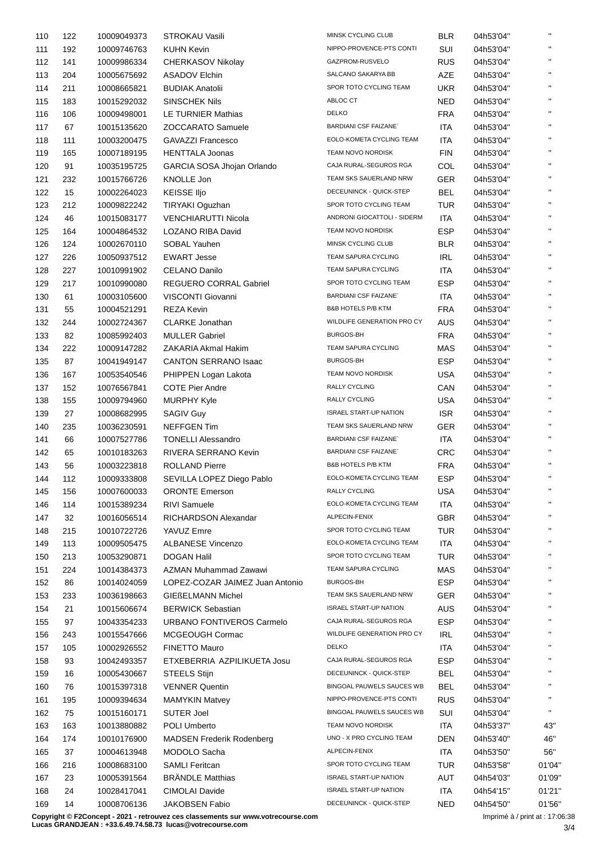| 110 | 122 | 10009049373 | <b>STROKAU Vasili</b>            | MINSK CYCLING CLUB            | <b>BLR</b> | 04h53'04" | $\mathbf{H}$ |
|-----|-----|-------------|----------------------------------|-------------------------------|------------|-----------|--------------|
| 111 | 192 | 10009746763 | <b>KUHN Kevin</b>                | NIPPO-PROVENCE-PTS CONTI      | SUI        | 04h53'04" | $\mathbf{u}$ |
| 112 | 141 | 10009986334 | CHERKASOV Nikolay                | GAZPROM-RUSVELO               | <b>RUS</b> | 04h53'04" | $\mathbf{H}$ |
| 113 | 204 | 10005675692 | <b>ASADOV Elchin</b>             | SALCANO SAKARYA BB            | AZE        | 04h53'04" | $\mathbf{H}$ |
| 114 | 211 | 10008665821 | <b>BUDIAK Anatolii</b>           | SPOR TOTO CYCLING TEAM        | <b>UKR</b> | 04h53'04" |              |
| 115 | 183 | 10015292032 | <b>SINSCHEK Nils</b>             | ABLOC CT                      | <b>NED</b> | 04h53'04" | $\mathbf{u}$ |
| 116 | 106 | 10009498001 | LE TURNIER Mathias               | <b>DELKO</b>                  | <b>FRA</b> | 04h53'04" | $\mathbf{H}$ |
| 117 | 67  | 10015135620 | <b>ZOCCARATO Samuele</b>         | <b>BARDIANI CSF FAIZANE</b>   | <b>ITA</b> | 04h53'04" | $\mathbf{u}$ |
| 118 | 111 | 10003200475 | <b>GAVAZZI Francesco</b>         | EOLO-KOMETA CYCLING TEAM      | <b>ITA</b> | 04h53'04" | $\mathbf{H}$ |
|     |     |             |                                  | TEAM NOVO NORDISK             |            |           | $\mathbf{H}$ |
| 119 | 165 | 10007189195 | <b>HENTTALA Joonas</b>           |                               | <b>FIN</b> | 04h53'04" | $\mathbf{H}$ |
| 120 | 91  | 10035195725 | GARCIA SOSA Jhojan Orlando       | CAJA RURAL-SEGUROS RGA        | COL        | 04h53'04" | $\mathbf{u}$ |
| 121 | 232 | 10015766726 | KNOLLE Jon                       | TEAM SKS SAUERLAND NRW        | <b>GER</b> | 04h53'04" |              |
| 122 | 15  | 10002264023 | <b>KEISSE IIjo</b>               | DECEUNINCK - QUICK-STEP       | BEL        | 04h53'04" |              |
| 123 | 212 | 10009822242 | TIRYAKI Oguzhan                  | SPOR TOTO CYCLING TEAM        | <b>TUR</b> | 04h53'04" | $\mathbf{u}$ |
| 124 | 46  | 10015083177 | <b>VENCHIARUTTI Nicola</b>       | ANDRONI GIOCATTOLI - SIDERM   | ITA        | 04h53'04" | $\mathbf{H}$ |
| 125 | 164 | 10004864532 | LOZANO RIBA David                | TEAM NOVO NORDISK             | <b>ESP</b> | 04h53'04" | $\mathbf{u}$ |
| 126 | 124 | 10002670110 | SOBAL Yauhen                     | MINSK CYCLING CLUB            | <b>BLR</b> | 04h53'04" | $\mathbf{H}$ |
| 127 | 226 | 10050937512 | <b>EWART Jesse</b>               | TEAM SAPURA CYCLING           | <b>IRL</b> | 04h53'04" | $\mathbf{u}$ |
| 128 | 227 | 10010991902 | <b>CELANO Danilo</b>             | TEAM SAPURA CYCLING           | <b>ITA</b> | 04h53'04" | $\mathbf{H}$ |
| 129 | 217 | 10010990080 | <b>REGUERO CORRAL Gabriel</b>    | SPOR TOTO CYCLING TEAM        | <b>ESP</b> | 04h53'04" |              |
| 130 | 61  | 10003105600 | VISCONTI Giovanni                | <b>BARDIANI CSF FAIZANE</b>   | <b>ITA</b> | 04h53'04" |              |
| 131 | 55  | 10004521291 | <b>REZA Kevin</b>                | B&B HOTELS P/B KTM            | <b>FRA</b> | 04h53'04" | $\mathbf{u}$ |
| 132 | 244 | 10002724367 | <b>CLARKE Jonathan</b>           | WILDLIFE GENERATION PRO CY    | AUS        | 04h53'04" | $\mathbf{H}$ |
| 133 | 82  |             | <b>MULLER Gabriel</b>            | <b>BURGOS-BH</b>              |            |           | $\mathbf{u}$ |
|     |     | 10085992403 |                                  | TEAM SAPURA CYCLING           | <b>FRA</b> | 04h53'04" | $\mathbf{H}$ |
| 134 | 222 | 10009147282 | ZAKARIA Akmal Hakim              |                               | MAS        | 04h53'04" | $\mathbf{H}$ |
| 135 | 87  | 10041949147 | <b>CANTON SERRANO Isaac</b>      | <b>BURGOS-BH</b>              | <b>ESP</b> | 04h53'04" | $\mathbf{H}$ |
| 136 | 167 | 10053540546 | PHIPPEN Logan Lakota             | TEAM NOVO NORDISK             | <b>USA</b> | 04h53'04" |              |
| 137 | 152 | 10076567841 | <b>COTE Pier Andre</b>           | RALLY CYCLING                 | CAN        | 04h53'04" | $\mathbf{u}$ |
| 138 | 155 | 10009794960 | <b>MURPHY Kyle</b>               | RALLY CYCLING                 | <b>USA</b> | 04h53'04" |              |
| 139 | 27  | 10008682995 | <b>SAGIV Guy</b>                 | <b>ISRAEL START-UP NATION</b> | <b>ISR</b> | 04h53'04" | $\mathbf{u}$ |
| 140 | 235 | 10036230591 | <b>NEFFGEN Tim</b>               | TEAM SKS SAUERLAND NRW        | <b>GER</b> | 04h53'04" | $\mathbf{H}$ |
| 141 | 66  | 10007527786 | <b>TONELLI Alessandro</b>        | <b>BARDIANI CSF FAIZANE</b>   | ITA        | 04h53'04" | $\mathbf{u}$ |
| 142 | 65  | 10010183263 | RIVERA SERRANO Kevin             | <b>BARDIANI CSF FAIZANE</b>   | <b>CRC</b> | 04h53'04" | $\mathbf{H}$ |
| 143 | 56  | 10003223818 | <b>ROLLAND Pierre</b>            | <b>B&amp;B HOTELS P/B KTM</b> | <b>FRA</b> | 04h53'04" | $\mathbf{H}$ |
| 144 | 112 | 10009333808 | SEVILLA LOPEZ Diego Pablo        | EOLO-KOMETA CYCLING TEAM      | <b>ESP</b> | 04h53'04" | $\mathbf{H}$ |
| 145 | 156 | 10007600033 | <b>ORONTE Emerson</b>            | RALLY CYCLING                 | <b>USA</b> | 04h53'04" |              |
| 146 | 114 | 10015389234 | <b>RIVI Samuele</b>              | EOLO-KOMETA CYCLING TEAM      | <b>ITA</b> | 04h53'04" |              |
| 147 | 32  | 10016056514 | RICHARDSON Alexandar             | ALPECIN-FENIX                 | <b>GBR</b> | 04h53'04" | $\mathbf{u}$ |
|     |     |             |                                  | SPOR TOTO CYCLING TEAM        |            |           | $\mathbf{H}$ |
| 148 | 215 | 10010722726 | YAVUZ Emre                       |                               | TUR        | 04h53'04" | $\mathbf{H}$ |
| 149 | 113 | 10009505475 | <b>ALBANESE Vincenzo</b>         | EOLO-KOMETA CYCLING TEAM      | ITA        | 04h53'04" | $\mathbf{H}$ |
| 150 | 213 | 10053290871 | <b>DOGAN Halil</b>               | SPOR TOTO CYCLING TEAM        | <b>TUR</b> | 04h53'04" |              |
| 151 | 224 | 10014384373 | <b>AZMAN Muhammad Zawawi</b>     | TEAM SAPURA CYCLING           | <b>MAS</b> | 04h53'04" |              |
| 152 | 86  | 10014024059 | LOPEZ-COZAR JAIMEZ Juan Antonio  | <b>BURGOS-BH</b>              | <b>ESP</b> | 04h53'04" |              |
| 153 | 233 | 10036198663 | <b>GIEßELMANN Michel</b>         | TEAM SKS SAUERLAND NRW        | <b>GER</b> | 04h53'04" |              |
| 154 | 21  | 10015606674 | <b>BERWICK Sebastian</b>         | <b>ISRAEL START-UP NATION</b> | <b>AUS</b> | 04h53'04" |              |
| 155 | 97  | 10043354233 | URBANO FONTIVEROS Carmelo        | CAJA RURAL-SEGUROS RGA        | <b>ESP</b> | 04h53'04" |              |
| 156 | 243 | 10015547666 | MCGEOUGH Cormac                  | WILDLIFE GENERATION PRO CY    | IRL        | 04h53'04" | $\mathbf{H}$ |
| 157 | 105 | 10002926552 | <b>FINETTO Mauro</b>             | <b>DELKO</b>                  | ITA        | 04h53'04" |              |
| 158 | 93  | 10042493357 | ETXEBERRIA AZPILIKUETA Josu      | CAJA RURAL-SEGUROS RGA        | <b>ESP</b> | 04h53'04" | $\mathbf{H}$ |
| 159 | 16  | 10005430667 | <b>STEELS Stijn</b>              | DECEUNINCK - QUICK-STEP       | <b>BEL</b> | 04h53'04" | $\mathbf{H}$ |
| 160 | 76  | 10015397318 | <b>VENNER Quentin</b>            | BINGOAL PAUWELS SAUCES WB     | <b>BEL</b> | 04h53'04" | $\mathbf{H}$ |
| 161 | 195 | 10009394634 | <b>MAMYKIN Matvey</b>            | NIPPO-PROVENCE-PTS CONTI      | <b>RUS</b> | 04h53'04" |              |
|     | 75  |             | <b>SUTER Joel</b>                | BINGOAL PAUWELS SAUCES WB     | SUI        |           | $\mathbf{H}$ |
| 162 |     | 10015160171 |                                  |                               |            | 04h53'04" |              |
| 163 | 163 | 10013880882 | POLI Umberto                     | TEAM NOVO NORDISK             | <b>ITA</b> | 04h53'37" | 43"          |
| 164 | 174 | 10010176900 | <b>MADSEN Frederik Rodenberg</b> | UNO - X PRO CYCLING TEAM      | <b>DEN</b> | 04h53'40" | 46"          |
| 165 | 37  | 10004613948 | MODOLO Sacha                     | ALPECIN-FENIX                 | ITA        | 04h53'50" | 56"          |
| 166 | 216 | 10008683100 | <b>SAMLI Feritcan</b>            | SPOR TOTO CYCLING TEAM        | <b>TUR</b> | 04h53'58" | 01'04"       |
| 167 | 23  | 10005391564 | <b>BRÄNDLE Matthias</b>          | <b>ISRAEL START-UP NATION</b> | AUT        | 04h54'03" | 01'09"       |
| 168 | 24  | 10028417041 | CIMOLAI Davide                   | <b>ISRAEL START-UP NATION</b> | ITA        | 04h54'15" | 01'21"       |
| 169 | 14  | 10008706136 | JAKOBSEN Fabio                   | DECEUNINCK - QUICK-STEP       | <b>NED</b> | 04h54'50" | 01'56"       |

**Copyright © F2Concept - 2021 - retrouvez ces classements sur www.votrecourse.com**

**Lucas GRANDJEAN : +33.6.49.74.58.73 lucas@votrecourse.com**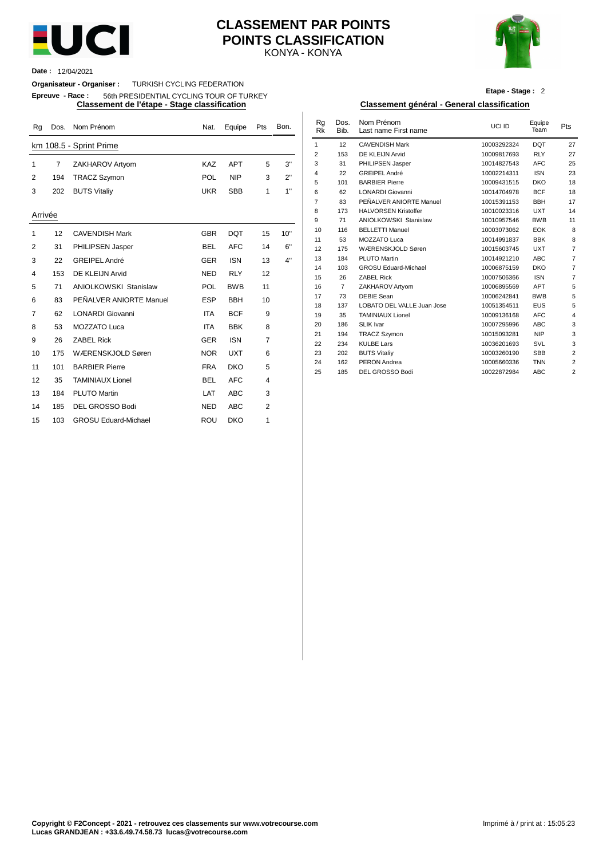

#### KONYA - KONYA **CLASSEMENT PAR POINTS POINTS CLASSIFICATION**



**Date :** 12/04/2021

**Organisateur - Organiser :** TURKISH CYCLING FEDERATION

**Epreuve - Race :** 56th PRESIDENTIAL CYCLING TOUR OF TURKEY

| Rq             | Dos. | Nom Prénom                   | Nat.       | Equipe     | Pts            | Bon. | Rg<br><b>Rk</b> | Dos.<br>Bib.   | Nom Prénom<br>Last name First name       | UCI ID                     | Equipe<br>Team           | Pts |
|----------------|------|------------------------------|------------|------------|----------------|------|-----------------|----------------|------------------------------------------|----------------------------|--------------------------|-----|
|                |      | km 108.5 - Sprint Prime      |            |            |                |      | $\mathbf{1}$    | 12             | <b>CAVENDISH Mark</b>                    | 10003292324                | <b>DQT</b>               | 27  |
|                |      |                              |            |            |                |      | 2               | 153            | DE KLEIJN Arvid                          | 10009817693                | <b>RLY</b>               | 27  |
|                | 7    | ZAKHAROV Artyom              | KAZ        | <b>APT</b> | 5              | 3"   | 3               | 31             | PHILIPSEN Jasper                         | 10014827543                | <b>AFC</b>               | 25  |
| 2              | 194  | <b>TRACZ Szymon</b>          | POL        | <b>NIP</b> | 3              | 2"   | 4               | 22             | <b>GREIPEL André</b>                     | 10002214311                | <b>ISN</b>               | 23  |
|                |      |                              |            |            |                |      | 5               | 101            | <b>BARBIER Pierre</b>                    | 10009431515                | <b>DKO</b>               | 18  |
| 3              | 202  | <b>BUTS Vitaliy</b>          | <b>UKR</b> | <b>SBB</b> | 1              | 1"   | 6               | 62             | LONARDI Giovanni                         | 10014704978                | <b>BCF</b>               | 18  |
|                |      |                              |            |            |                |      | $\overline{7}$  | 83             | PEÑALVER ANIORTE Manuel                  | 10015391153                | <b>BBH</b>               | 17  |
| Arrivée        |      |                              |            |            |                |      | 8               | 173            | <b>HALVORSEN Kristoffer</b>              | 10010023316                | <b>UXT</b>               | 14  |
|                |      |                              |            |            |                |      | 9               | 71             | <b>ANIOLKOWSKI Stanislaw</b>             | 10010957546                | <b>BWB</b>               | 11  |
| 1              | 12   | <b>CAVENDISH Mark</b>        | <b>GBR</b> | <b>DQT</b> | 15             | 10"  | 10              | 116            | <b>BELLETTI Manuel</b>                   | 10003073062                | EOK                      |     |
|                |      |                              |            |            |                |      | 11              | 53             | MOZZATO Luca                             | 10014991837                | <b>BBK</b>               |     |
| 2              | 31   | PHILIPSEN Jasper             | <b>BEL</b> | <b>AFC</b> | 14             | 6"   | 12              | 175            | WÆRENSKJOLD Søren                        | 10015603745                | <b>UXT</b>               |     |
| 3              | 22   | <b>GREIPEL André</b>         | <b>GER</b> | <b>ISN</b> | 13             | 4"   | 13              | 184            | PLUTO Martin                             | 10014921210                | <b>ABC</b>               |     |
| 4              | 153  | DE KLEIJN Arvid              | <b>NED</b> | <b>RLY</b> | 12             |      | 14              | 103            | <b>GROSU Eduard-Michael</b>              | 10006875159                | <b>DKO</b>               |     |
|                |      |                              |            |            |                |      | 15              | 26             | <b>ZABEL Rick</b>                        | 10007506366                | <b>ISN</b>               |     |
| 5              | 71   | <b>ANIOLKOWSKI Stanislaw</b> | <b>POL</b> | <b>BWB</b> | 11             |      | 16              | $\overline{7}$ | ZAKHAROV Artyom                          | 10006895569                | APT                      |     |
| 6              | 83   | PEÑALVER ANIORTE Manuel      | <b>ESP</b> | <b>BBH</b> | 10             |      | 17              | 73             | <b>DEBIE Sean</b>                        | 10006242841                | <b>BWB</b>               |     |
| $\overline{7}$ | 62   | <b>LONARDI</b> Giovanni      | <b>ITA</b> | <b>BCF</b> | 9              |      | 18              | 137            | LOBATO DEL VALLE Juan Jose               | 10051354511                | <b>EUS</b>               |     |
|                |      |                              |            |            |                |      | 19              | 35             | <b>TAMINIAUX Lionel</b>                  | 10009136168                | <b>AFC</b>               |     |
| 8              | 53   | <b>MOZZATO Luca</b>          | <b>ITA</b> | <b>BBK</b> | 8              |      | 20              | 186            | <b>SLIK Ivar</b>                         | 10007295996                | <b>ABC</b><br><b>NIP</b> |     |
| 9              | 26   | <b>ZABEL Rick</b>            | <b>GER</b> | <b>ISN</b> | $\overline{7}$ |      | 21<br>22        | 194<br>234     | <b>TRACZ Szymon</b><br><b>KULBE Lars</b> | 10015093281<br>10036201693 | SVL                      |     |
| 10             | 175  | WÆRENSKJOLD Søren            | <b>NOR</b> | <b>UXT</b> | 6              |      | 23              | 202            | <b>BUTS Vitaliy</b>                      | 10003260190                | <b>SBB</b>               |     |
|                |      |                              |            |            |                |      | 24              | 162            | <b>PERON Andrea</b>                      | 10005660336                | <b>TNN</b>               |     |
| 11             | 101  | <b>BARBIER Pierre</b>        | <b>FRA</b> | <b>DKO</b> | 5              |      | 25              | 185            | DEL GROSSO Bodi                          | 10022872984                | <b>ABC</b>               |     |
| 12             | 35   | <b>TAMINIAUX Lionel</b>      | <b>BEL</b> | <b>AFC</b> | 4              |      |                 |                |                                          |                            |                          |     |
| 13             | 184  | <b>PLUTO Martin</b>          | LAT        | <b>ABC</b> | 3              |      |                 |                |                                          |                            |                          |     |
| 14             | 185  | DEL GROSSO Bodi              | <b>NED</b> | <b>ABC</b> | $\overline{2}$ |      |                 |                |                                          |                            |                          |     |
| 15             | 103  | <b>GROSU Eduard-Michael</b>  | ROU        | <b>DKO</b> | 1              |      |                 |                |                                          |                            |                          |     |

#### **Etape - Stage :** 2

#### **Classement de l'étape - Stage classification Classement général - General classification**

| Nat.       | Equipe     | Pts | Bon. | Rg<br><b>Rk</b> | Dos.<br>Bib.   | Nom Prénom<br>Last name First name | UCI ID      | Equipe<br>Team | Pts            |
|------------|------------|-----|------|-----------------|----------------|------------------------------------|-------------|----------------|----------------|
|            |            |     |      | 1               | 12             | <b>CAVENDISH Mark</b>              | 10003292324 | <b>DQT</b>     | 27             |
|            |            |     |      | $\overline{2}$  | 153            | DE KLEIJN Arvid                    | 10009817693 | <b>RLY</b>     | 27             |
| KAZ        | <b>APT</b> | 5   | 3"   | 3               | 31             | PHILIPSEN Jasper                   | 10014827543 | <b>AFC</b>     | 25             |
|            |            |     | 2"   | 4               | 22             | <b>GREIPEL André</b>               | 10002214311 | <b>ISN</b>     | 23             |
| POL        | <b>NIP</b> | 3   |      | 5               | 101            | <b>BARBIER Pierre</b>              | 10009431515 | <b>DKO</b>     | 18             |
| UKR        | <b>SBB</b> | 1   | 1"   | 6               | 62             | LONARDI Giovanni                   | 10014704978 | <b>BCF</b>     | 18             |
|            |            |     |      | $\overline{7}$  | 83             | PEÑALVER ANIORTE Manuel            | 10015391153 | <b>BBH</b>     | 17             |
|            |            |     |      | 8               | 173            | <b>HALVORSEN Kristoffer</b>        | 10010023316 | <b>UXT</b>     | 14             |
|            |            |     |      | 9               | 71             | <b>ANIOLKOWSKI Stanislaw</b>       | 10010957546 | <b>BWB</b>     | 11             |
| <b>GBR</b> | <b>DQT</b> | 15  | 10"  | 10              | 116            | <b>BELLETTI Manuel</b>             | 10003073062 | <b>EOK</b>     | 8              |
|            |            |     |      | 11              | 53             | MOZZATO Luca                       | 10014991837 | <b>BBK</b>     | 8              |
| BEL        | <b>AFC</b> | 14  | 6"   | 12              | 175            | WÆRENSKJOLD Søren                  | 10015603745 | <b>UXT</b>     | $\overline{7}$ |
| GER        | <b>ISN</b> | 13  | 4"   | 13              | 184            | <b>PLUTO Martin</b>                | 10014921210 | <b>ABC</b>     | $\overline{7}$ |
|            |            |     |      | 14              | 103            | <b>GROSU Eduard-Michael</b>        | 10006875159 | <b>DKO</b>     | 7              |
| NED        | <b>RLY</b> | 12  |      | 15              | 26             | <b>ZABEL Rick</b>                  | 10007506366 | <b>ISN</b>     | $\overline{7}$ |
| POL        | <b>BWB</b> | 11  |      | 16              | $\overline{7}$ | ZAKHAROV Artyom                    | 10006895569 | <b>APT</b>     | 5              |
| ESP        | <b>BBH</b> | 10  |      | 17              | 73             | <b>DEBIE Sean</b>                  | 10006242841 | <b>BWB</b>     | 5              |
|            |            |     |      | 18              | 137            | LOBATO DEL VALLE Juan Jose         | 10051354511 | <b>EUS</b>     | 5              |
| <b>ITA</b> | <b>BCF</b> | 9   |      | 19              | 35             | <b>TAMINIAUX Lionel</b>            | 10009136168 | <b>AFC</b>     | 4              |
| <b>ITA</b> | <b>BBK</b> | 8   |      | 20              | 186            | <b>SLIK Ivar</b>                   | 10007295996 | <b>ABC</b>     | 3              |
|            |            |     |      | 21              | 194            | <b>TRACZ Szymon</b>                | 10015093281 | <b>NIP</b>     | 3              |
| GER        | <b>ISN</b> | 7   |      | 22              | 234            | <b>KULBE Lars</b>                  | 10036201693 | SVL            | 3              |
| NOR        | <b>UXT</b> | 6   |      | 23              | 202            | <b>BUTS Vitaliy</b>                | 10003260190 | <b>SBB</b>     | $\overline{2}$ |
|            |            |     |      | 24              | 162            | <b>PERON</b> Andrea                | 10005660336 | <b>TNN</b>     | $\overline{2}$ |
| FRA        | <b>DKO</b> | 5   |      | 25              | 185            | DEL GROSSO Bodi                    | 10022872984 | <b>ABC</b>     | $\overline{2}$ |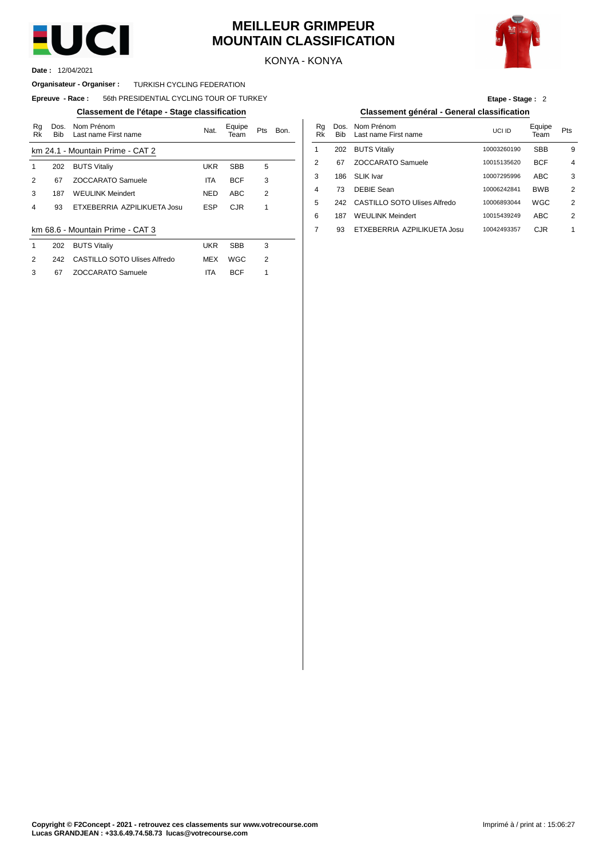

#### **MEILLEUR GRIMPEUR MOUNTAIN CLASSIFICATION**



KONYA - KONYA

12/04/2021 **Date :**

#### **Organisateur - Organiser : TURKISH CYCLING FEDERATION**

#### $E$ preuve  $-$  **Race** : 56th PRESIDENTIAL CYCLING TOUR OF TURKEY

#### **Classement de l'étape - Stage classification Classement général - General classification**

| Rq<br>Rk | Dos.<br><b>Bib</b> | Nom Prénom<br>Last name First name | Nat.       | Equipe<br>Team | <b>Pts</b>     | Bon. | Rg<br>Rk | Dos<br><b>Bib</b> |
|----------|--------------------|------------------------------------|------------|----------------|----------------|------|----------|-------------------|
|          |                    | km 24.1 - Mountain Prime - CAT 2   |            |                |                |      | 1        | 202               |
| 1        | 202                | <b>BUTS Vitaliy</b>                | <b>UKR</b> | <b>SBB</b>     | 5              |      | 2        | 67                |
| 2        | 67                 | <b>ZOCCARATO Samuele</b>           | <b>ITA</b> | <b>BCF</b>     | 3              |      | 3        | 186               |
| 3        | 187                | <b>WEULINK Meindert</b>            | <b>NED</b> | ABC            | $\overline{2}$ |      | 4        | 73                |
| 4        | 93                 | ETXEBERRIA AZPILIKUETA Josu        | <b>ESP</b> | <b>CJR</b>     | 1              |      | 5        | 242               |
|          |                    |                                    |            |                |                |      | 6        | 187               |
|          |                    | km 68.6 - Mountain Prime - CAT 3   |            |                |                |      | 7        | 93                |
| 1        | 202                | <b>BUTS Vitaliy</b>                | <b>UKR</b> | <b>SBB</b>     | 3              |      |          |                   |
| 2        | 242                | CASTILLO SOTO Ulises Alfredo       | MEX        | WGC            | $\overline{2}$ |      |          |                   |
| 3        | 67                 | <b>ZOCCARATO Samuele</b>           | ITA        | <b>BCF</b>     | 1              |      |          |                   |

| Etape - Stage: 2 |  |
|------------------|--|
|                  |  |

| Nom Prénom<br>Last name First name | Nat.       | Equipe<br>Team | Pts | Bon. | Ra<br>Rk | Dos.<br><b>Bib</b> | Nom Prénom<br>Last name First name | UCI ID      | Equipe<br>Team | Pts |
|------------------------------------|------------|----------------|-----|------|----------|--------------------|------------------------------------|-------------|----------------|-----|
| lountain Prime - CAT 2             |            |                |     |      |          | 202                | <b>BUTS Vitaliy</b>                | 10003260190 | <b>SBB</b>     | 9   |
| <b>BUTS Vitaliy</b>                | UKR        | <b>SBB</b>     | 5   |      |          | 67                 | ZOCCARATO Samuele                  | 10015135620 | <b>BCF</b>     | 4   |
| ZOCCARATO Samuele                  | <b>ITA</b> | <b>BCF</b>     | 3   |      | 3        | 186                | SLIK Ivar                          | 10007295996 | <b>ABC</b>     | 3   |
| WEULINK Meindert                   | <b>NED</b> | <b>ABC</b>     | 2   |      | 4        | 73                 | DEBIE Sean                         | 10006242841 | <b>BWB</b>     | 2   |
| ETXEBERRIA AZPILIKUETA Josu        | ESP        | <b>CJR</b>     |     |      | 5        | 242                | CASTILLO SOTO Ulises Alfredo       | 10006893044 | <b>WGC</b>     | 2   |
|                                    |            |                |     |      | 6        | 187                | <b>WEULINK Meindert</b>            | 10015439249 | <b>ABC</b>     | 2   |
| lountain Prime - CAT 3             |            |                |     |      |          | 93                 | ETXEBERRIA AZPILIKUETA Josu        | 10042493357 | <b>CJR</b>     |     |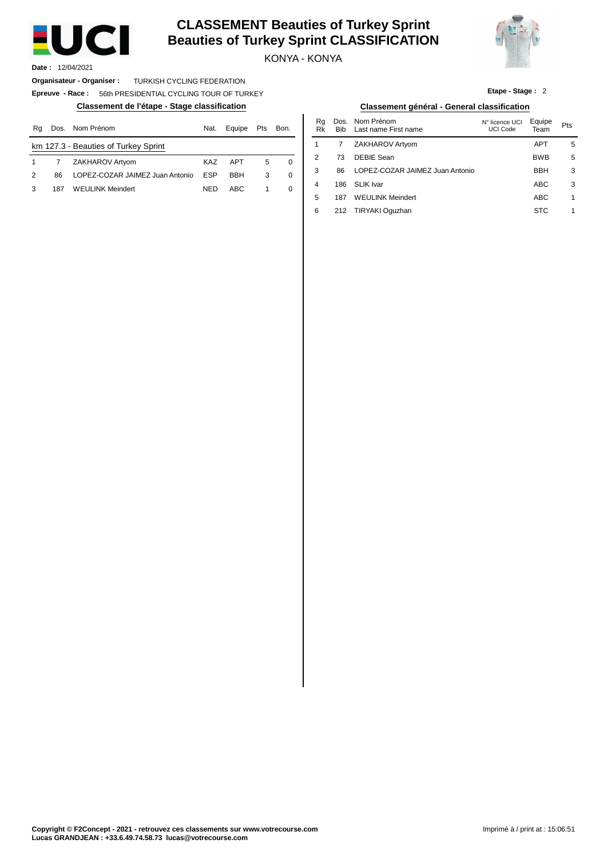

#### **CLASSEMENT Beauties of Turkey Sprint Beauties of Turkey Sprint CLASSIFICATION**

KONYA - KONYA



**Etape - Stage :** 2

**Date :** 12/04/2021

**Organisateur - Organiser :** TURKISH CYCLING FEDERATION

**Epreuve - Race :** 56th PRESIDENTIAL CYCLING TOUR OF TURKEY

| Rq | Dos. | Nom Prénom                           | Nat.       | Equipe     | Pts | Bon.     | Ra<br>Rk | Dos.<br>Bib | Nom Prénom<br>Last name First name | N° licence UCI<br>UCI Code | Equipe<br>Team | Pts |
|----|------|--------------------------------------|------------|------------|-----|----------|----------|-------------|------------------------------------|----------------------------|----------------|-----|
|    |      | km 127.3 - Beauties of Turkey Sprint |            |            |     |          |          |             | ZAKHAROV Artyom                    |                            | <b>APT</b>     |     |
|    |      | ZAKHAROV Artyom                      | KAZ        | <b>APT</b> |     | $\Omega$ | ∼        |             | DEBIE Sean                         |                            | <b>BWB</b>     |     |
| 2  | 86   | LOPEZ-COZAR JAIMEZ Juan Antonio      | <b>ESP</b> | <b>BBH</b> | 3   | $\Omega$ |          | 86          | LOPEZ-COZAR JAIMEZ Juan Antonio    |                            | <b>BBH</b>     | r.  |
|    | 187  | <b>WEULINK Meindert</b>              | <b>NED</b> | ABC        |     |          | Δ        | 186         | SLIK Ivar                          |                            | <b>ABC</b>     | G   |

#### **Classement de l'étape - Stage classification Classement général - General classification**

| Nom Prénom                       | Nat.       | Equipe     | Pts | Bon. | Ra<br>Rk | Dos.<br><b>Bib</b> | Nom Prénom<br>Last name First name | N° licence UCI<br>UCI Code | Equipe<br>Team | Pts |
|----------------------------------|------------|------------|-----|------|----------|--------------------|------------------------------------|----------------------------|----------------|-----|
| <b>Beauties of Turkey Sprint</b> |            |            |     |      |          |                    | ZAKHAROV Artyom                    |                            | <b>APT</b>     | 5   |
| ZAKHAROV Artyom                  | <b>KAZ</b> | <b>APT</b> | 5   | 0    | 2        | 73                 | DEBIE Sean                         |                            | <b>BWB</b>     | 5   |
| LOPEZ-COZAR JAIMEZ Juan Antonio  | <b>ESP</b> | <b>BBH</b> | 3   | 0    | 3        | 86                 | LOPEZ-COZAR JAIMEZ Juan Antonio    |                            | <b>BBH</b>     | 3   |
| WEULINK Meindert                 | <b>NED</b> | <b>ABC</b> |     | 0    | 4        | 186                | SLIK Ivar                          |                            | <b>ABC</b>     | 3   |
|                                  |            |            |     |      | 5        | 187                | <b>WEULINK Meindert</b>            |                            | <b>ABC</b>     | 1   |
|                                  |            |            |     |      | 6        | 212                | TIRYAKI Oguzhan                    |                            | <b>STC</b>     |     |
|                                  |            |            |     |      |          |                    |                                    |                            |                |     |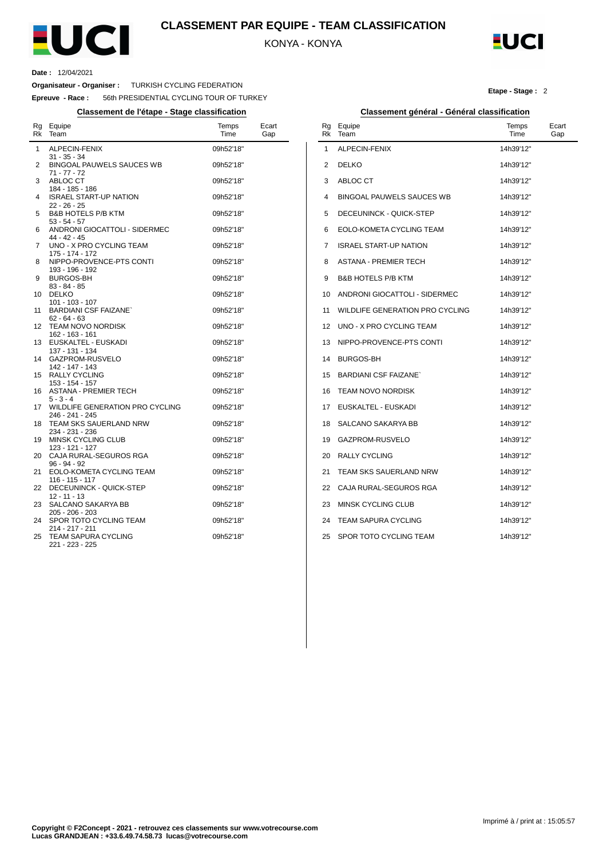

#### **CLASSEMENT PAR EQUIPE - TEAM CLASSIFICATION**

KONYA - KONYA



#### **Date :** 12/04/2021

 $\overline{a}$ 

**Organisateur - Organiser :** TURKISH CYCLING FEDERATION

**Epreuve - Race :** 56th PRESIDENTIAL CYCLING TOUR OF TURKEY

**Classement de l'étape - Stage classification Classement général - Général classification**

| Rg<br>Rk     | Equipe<br>Team                                                         | Temps<br>Time          | Ecart<br>Gap |
|--------------|------------------------------------------------------------------------|------------------------|--------------|
| $\mathbf{1}$ | ALPECIN-FENIX<br>$31 - 35 - 34$                                        | 09h52'18"              |              |
| 2            | BINGOAL PAUWELS SAUCES WB<br>$71 - 77 - 72$                            | 09h52'18"              |              |
| 3            | ABLOC CT<br>184 - 185 - 186                                            | 09h52'18"              |              |
| 4            | <b>ISRAEL START-UP NATION</b><br>22 - 26 - 25                          | 09h52'18"              |              |
| 5            | <b>B&amp;B HOTELS P/B KTM</b><br>$53 - 54 - 57$                        | 09h52'18"              |              |
| 6            | ANDRONI GIOCATTOLI - SIDERMEC<br>44 - 42 - 45                          | 09h52'18"              |              |
| 7            | UNO - X PRO CYCLING TEAM<br>175 - 174 - 172                            | 09h52'18"              |              |
| 8            | NIPPO-PROVENCE-PTS CONTI<br>193 - 196 - 192                            | 09h52'18"              |              |
| 9            | <b>BURGOS-BH</b><br>$83 - 84 - 85$                                     | 09h52'18"              |              |
| 10           | <b>DELKO</b><br>$101 - 103 - 107$                                      | 09h52'18"              |              |
| 11           | <b>BARDIANI CSF FAIZANE</b><br>$62 - 64 - 63$                          | 09h52'18"              |              |
| 12           | <b>TEAM NOVO NORDISK</b><br>162 - 163 - 161                            | 09h52'18"              |              |
| 13           | EUSKALTEL - EUSKADI<br>137 - 131 - 134                                 | 09h52'18"              |              |
| 14           | GAZPROM-RUSVELO<br>142 - 147 - 143                                     | 09h52'18"              |              |
| 15           | RALLY CYCLING<br>153 - 154 - 157                                       | 09h52'18"              |              |
| 16           | <b>ASTANA - PREMIER TECH</b><br>$5 - 3 - 4$                            | 09h52'18"              |              |
| 17           | WILDLIFE GENERATION PRO CYCLING<br>246 - 241 - 245                     | 09h52'18"              |              |
| 18           | <b>TEAM SKS SAUERLAND NRW</b><br>234 - 231 - 236                       | 09h52'18"              |              |
| 19           | MINSK CYCLING CLUB<br>123 - 121 - 127                                  | 09h52'18"              |              |
| 20           | CAJA RURAL-SEGUROS RGA<br>96 - 94 - 92                                 | 09h52'18"              |              |
| 21           | EOLO-KOMETA CYCLING TEAM<br>116 - 115 - 117<br>DECEUNINCK - QUICK-STEP | 09h52'18"<br>09h52'18" |              |
| 22<br>23     | $12 - 11 - 13$<br>SALCANO SAKARYA BB                                   | 09h52'18"              |              |
|              | $205 - 206 - 203$                                                      |                        |              |
| 24           | SPOR TOTO CYCLING TEAM<br>214 - 217 - 211                              | 09h52'18"              |              |
| 25           | <b>TEAM SAPURA CYCLING</b><br>221 - 223 - 225                          | 09h52'18"              |              |

| Equipe                          | Temps     |              |
|---------------------------------|-----------|--------------|
| Team                            | Time      | Ecart<br>Gap |
| ALPECIN-FENIX                   | 14h39'12" |              |
| <b>DELKO</b>                    | 14h39'12" |              |
| ABLOC CT                        | 14h39'12" |              |
| BINGOAL PAUWELS SAUCES WB       | 14h39'12" |              |
| DECEUNINCK - QUICK-STEP         | 14h39'12" |              |
| EOLO-KOMETA CYCLING TEAM        | 14h39'12" |              |
| <b>ISRAEL START-UP NATION</b>   | 14h39'12" |              |
| ASTANA - PREMIER TECH           | 14h39'12" |              |
| <b>B&amp;B HOTELS P/B KTM</b>   | 14h39'12" |              |
| ANDRONI GIOCATTOLI - SIDERMEC   | 14h39'12" |              |
| WILDLIFE GENERATION PRO CYCLING | 14h39'12" |              |
| UNO - X PRO CYCLING TEAM        | 14h39'12" |              |
| NIPPO-PROVENCE-PTS CONTI        | 14h39'12" |              |
| <b>BURGOS-BH</b>                | 14h39'12" |              |
| <b>BARDIANI CSF FAIZANE</b>     | 14h39'12" |              |
| TEAM NOVO NORDISK               | 14h39'12" |              |
| EUSKALTEL - EUSKADI             | 14h39'12" |              |
| SALCANO SAKARYA BB              | 14h39'12" |              |
| GAZPROM-RUSVELO                 | 14h39'12" |              |
| <b>RALLY CYCLING</b>            | 14h39'12" |              |
| TEAM SKS SAUERLAND NRW          | 14h39'12" |              |
| CAJA RURAL-SEGUROS RGA          | 14h39'12" |              |
| <b>MINSK CYCLING CLUB</b>       | 14h39'12" |              |
|                                 |           |              |

#### 24 TEAM SAPURA CYCLING 25 SPOR TOTO CYCLING TEAM 14h39'12'' 14h39'12''

**Copyright © F2Concept - 2021 - retrouvez ces classements sur www.votrecourse.com Lucas GRANDJEAN : +33.6.49.74.58.73 lucas@votrecourse.com**

#### **Etape - Stage :** 2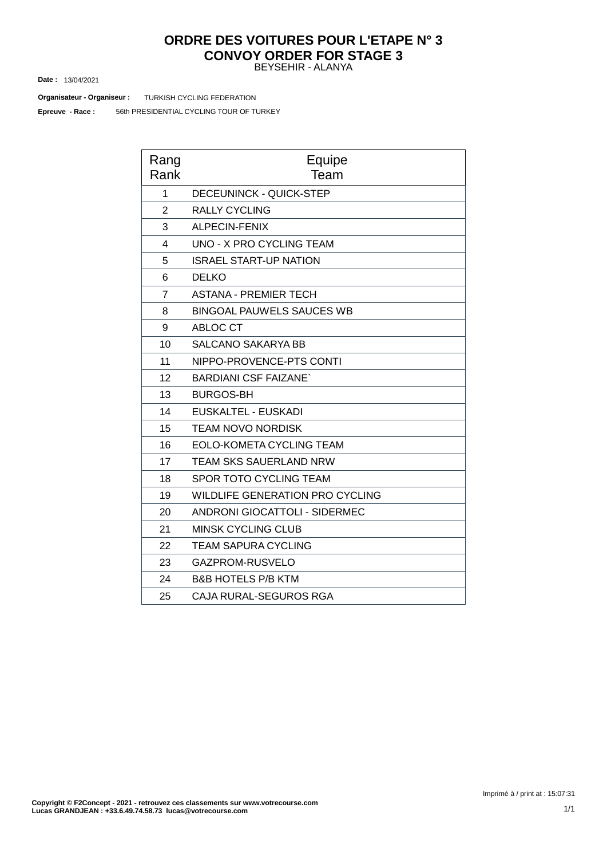### **ORDRE DES VOITURES POUR L'ETAPE N° 3 CONVOY ORDER FOR STAGE 3**

BEYSEHIR - ALANYA

13/04/2021 **Date :**

**Organisateur - Organiseur : TURKISH CYCLING FEDERATION** 

56th PRESIDENTIAL CYCLING TOUR OF TURKEY **Epreuve - Race :**

| Rang<br>Rank   | Equipe<br>Team                         |
|----------------|----------------------------------------|
| 1              | <b>DECEUNINCK - QUICK-STEP</b>         |
| $\overline{2}$ | <b>RALLY CYCLING</b>                   |
| 3              | ALPECIN-FENIX                          |
| 4              | UNO - X PRO CYCLING TEAM               |
| 5              | <b>ISRAEL START-UP NATION</b>          |
| 6              | <b>DELKO</b>                           |
| $\overline{7}$ | <b>ASTANA - PREMIER TECH</b>           |
| 8              | <b>BINGOAL PAUWELS SAUCES WB</b>       |
| 9              | ABLOC CT                               |
| 10             | SALCANO SAKARYA BB                     |
| 11             | NIPPO-PROVENCE-PTS CONTI               |
| 12             | <b>BARDIANI CSF FAIZANE</b>            |
| 13             | <b>BURGOS-BH</b>                       |
| 14             | EUSKALTEL - EUSKADI                    |
| 15             | <b>TEAM NOVO NORDISK</b>               |
| 16             | EOLO-KOMETA CYCLING TEAM               |
| 17             | <b>TEAM SKS SAUERLAND NRW</b>          |
| 18             | SPOR TOTO CYCLING TEAM                 |
| 19             | <b>WILDLIFE GENERATION PRO CYCLING</b> |
| 20             | <b>ANDRONI GIOCATTOLI - SIDERMEC</b>   |
| 21             | <b>MINSK CYCLING CLUB</b>              |
| 22             | <b>TEAM SAPURA CYCLING</b>             |
| 23             | GAZPROM-RUSVELO                        |
| 24             | <b>B&amp;B HOTELS P/B KTM</b>          |
| 25             | CAJA RURAL-SEGUROS RGA                 |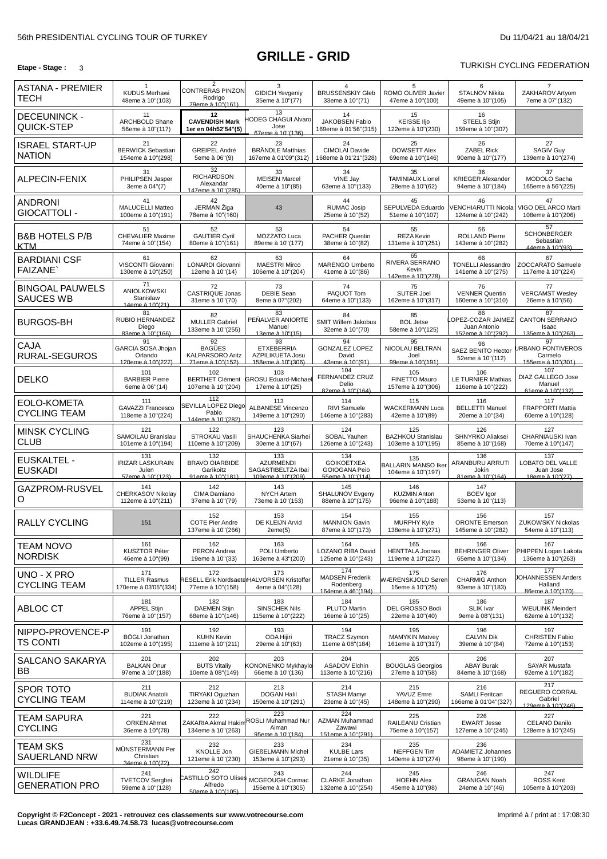#### **Etape -** Stage : 3 **TURKISH CYCLING FEDERATION**

| ASTANA - PREMIER<br><b>TECH</b>            | $\mathbf{1}$<br><b>KUDUS Merhawi</b><br>48eme à 10"(103)    | $\overline{2}$<br><b>CONTRERAS PINZON</b><br>Rodrigo<br>79eme à 10"(161) | 3<br><b>GIDICH Yevgeniy</b><br>35eme à 10"(77)                       | 4<br><b>BRUSSENSKIY Gleb</b><br>33eme à 10"(71)                 | 5<br>ROMO OLIVER Javier<br>47eme à 10"(100)            | 6<br>STALNOV Nikita<br>49eme à 10"(105)                      | ZAKHAROV Artyom<br>7eme à 07"(132)                             |
|--------------------------------------------|-------------------------------------------------------------|--------------------------------------------------------------------------|----------------------------------------------------------------------|-----------------------------------------------------------------|--------------------------------------------------------|--------------------------------------------------------------|----------------------------------------------------------------|
| <b>DECEUNINCK -</b><br>QUICK-STEP          | 11<br>ARCHBOLD Shane<br>56eme à 10"(117)                    | 12<br><b>CAVENDISH Mark</b><br>1er en 04h52'54"(5)                       | 13<br><b>ODEG CHAGUI Alvaro</b><br>Jose<br>67eme à 10"(136)          | 14<br>JAKOBSEN Fabio<br>169eme à 01'56"(315)                    | 15<br><b>KEISSE IIjo</b><br>122eme à 10"(230)          | 16<br><b>STEELS Stijn</b><br>159eme à 10"(307)               |                                                                |
| <b>ISRAEL START-UP</b><br><b>NATION</b>    | 21<br><b>BERWICK Sebastian</b><br>154eme à 10"(298)         | 22<br>GREIPEL André<br>5eme à 06"(9)                                     | 23<br><b>BRÄNDLE Matthias</b><br>167eme à 01'09"(312)                | 24<br><b>CIMOLAI Davide</b><br>168eme à 01'21"(328)             | 25<br><b>DOWSETT Alex</b><br>69eme à 10"(146)          | 26<br><b>ZABEL Rick</b><br>90eme à 10"(177)                  | 27<br><b>SAGIV Guy</b><br>139eme à 10"(274)                    |
| ALPECIN-FENIX                              | 31<br>PHILIPSEN Jasper<br>3eme à 04"(7)                     | 32<br><b>RICHARDSON</b><br>Alexandar<br>147eme à 10" (285)               | 33<br><b>MEISEN Marcel</b><br>40eme à 10"(85)                        | 34<br>VINE Jay<br>63eme à 10"(133)                              | 35<br><b>TAMINIAUX Lionel</b><br>28eme à 10"(62)       | 36<br><b>KRIEGER Alexander</b><br>94eme à 10"(184)           | 37<br>MODOLO Sacha<br>165eme à 56"(225)                        |
| <b>ANDRONI</b><br>GIOCATTOLI -             | 41<br><b>MALUCELLI Matteo</b><br>100eme à 10"(191)          | 42<br>JERMAN Žiga<br>78eme à 10"(160)                                    | 43                                                                   | 44<br><b>RUMAC Josip</b><br>25eme à 10"(52)                     | 45<br>SEPULVEDA Eduardo<br>51eme à 10"(107)            | 46<br>VENCHIARUTTI Nicola<br>124eme à 10"(242)               | 47<br>VIGO DEL ARCO Marti<br>108eme à 10"(206)                 |
| <b>B&amp;B HOTELS P/B</b><br>KTM           | 51<br><b>CHEVALIER Maxime</b><br>74eme à 10"(154)           | 52<br><b>GAUTIER Cyril</b><br>80eme à 10"(161)                           | 53<br>MOZZATO Luca<br>89eme à 10"(177)                               | 54<br>PACHER Quentin<br>38eme à 10"(82)                         | 55<br>REZA Kevin<br>131eme à 10"(251)                  | 56<br>ROLLAND Pierre<br>143eme à 10"(282)                    | 57<br><b>SCHONBERGER</b><br>Sebastian<br>44eme à 10"(93)       |
| <b>BARDIANI CSF</b><br><b>FAIZANE</b>      | 61<br>VISCONTI Giovanni<br>130eme à 10"(250)                | 62<br>LONARDI Giovanni<br>12eme à 10"(14)                                | 63<br><b>MAESTRI Mirco</b><br>106eme à 10"(204)                      | 64<br>MARENGO Umberto<br>41eme à 10"(86)                        | 65<br>RIVERA SERRANO<br>Kevin<br>142eme à 10"(278)     | 66<br><b>TONELLI Alessandro</b><br>141eme à 10"(275)         | 67<br>ZOCCARATO Samuele<br>117eme à 10"(224)                   |
| <b>BINGOAL PAUWELS</b><br><b>SAUCES WB</b> | 71<br><b>ANIOLKOWSKI</b><br>Stanislaw<br>14eme à 10"(21)    | 72<br><b>CASTRIQUE Jonas</b><br>31eme à 10"(70)                          | 73<br><b>DEBIE Sean</b><br>8eme à 07"(202)                           | 74<br>PAQUOT Tom<br>64eme à 10"(133)                            | 75<br><b>SUTER Joel</b><br>162eme à 10"(317)           | 76<br><b>VENNER Quentin</b><br>160eme à 10"(310)             | 77<br><b>VERCAMST Wesley</b><br>26eme à 10"(56)                |
| <b>BURGOS-BH</b>                           | 81<br>RUBIO HERNANDEZ<br>Diego<br>83eme à 10"(166).         | 82<br><b>MULLER Gabriel</b><br>133eme à 10"(255)                         | 83<br>PEÑALVER ANIORTE<br>Manuel<br>13eme à 10"(15).                 | 84<br>SMIT Willem Jakobus<br>32eme à 10"(70)                    | 85<br><b>BOL Jetse</b><br>58eme à 10"(125)             | 86<br>OPEZ-COZAR JAIMEZ<br>Juan Antonio<br>152eme à 10"(292) | 87<br><b>CANTON SERRANO</b><br>Isaac<br>135eme à 10"(263)      |
| <b>CAJA</b><br>RURAL-SEGUROS               | 91<br>GARCIA SOSA Jhojan<br>Orlando<br>120eme à 10"(227)    | 92<br><b>BAGÜES</b><br><b>KALPARSORO Aritz</b><br>71eme à 10"(152)       | 93<br><b>ETXEBERRIA</b><br>AZPILIKUETA Josu<br>158eme à 10"(306)     | 94<br><b>GONZALEZ LOPEZ</b><br>David<br>43eme à 10"(91).        | 95<br>NICOLAU BELTRAN<br>Joel<br>99eme à 10"(191).     | 96<br>SAEZ BENITO Hector<br>52eme à 10"(112)                 | 97<br><b>IRBANO FONTIVEROS</b><br>Carmelo<br>155eme à 10"(301) |
| <b>DELKO</b>                               | 101<br><b>BARBIER Pierre</b><br>6eme à 06"(14)              | 102<br><b>BERTHET Clément</b><br>107eme à 10"(204)                       | 103<br><b>GROSU Eduard-Michae</b><br>17eme à 10"(25)                 | 104<br><b>FERNANDEZ CRUZ</b><br>Delio<br>82eme à 10"(164)       | 105<br>FINETTO Mauro<br>157eme à 10"(306)              | 106<br><b>LE TURNIER Mathias</b><br>116eme à 10"(222)        | 107<br>DIAZ GALLEGO Jose<br>Manuel<br>61eme à 10"(132)         |
| EOLO-KOMETA<br><b>CYCLING TEAM</b>         | 111<br><b>GAVAZZI Francesco</b><br>118eme à 10"(224)        | 112<br>SEVILLA LOPEZ Diego<br>Pablo<br>144eme à 10"(282)                 | 113<br>ALBANESE Vincenzo<br>149eme à 10"(290)                        | 114<br>RIVI Samuele<br>146eme à 10"(283)                        | 115<br><b>WACKERMANN Luca</b><br>42eme à 10"(89)       | 116<br><b>BELLETTI Manuel</b><br>20eme à 10"(34)             | 117<br><b>FRAPPORTI Mattia</b><br>60eme à 10"(128)             |
| <b>MINSK CYCLING</b><br><b>CLUB</b>        | 121<br>SAMOILAU Branislau<br>101eme à 10"(194)              | 122<br><b>STROKAU Vasili</b><br>110eme à 10"(209)                        | 123<br>SHAUCHENKA Siarhei<br>30eme à 10"(67)                         | 124<br>SOBAL Yauhen<br>126eme à 10"(243)                        | 125<br><b>BAZHKOU Stanislau</b><br>103eme à 10"(195)   | 126<br>SHNYRKO Aliaksei<br>85eme à 10"(168)                  | 127<br>CHARNIAUSKI Ivan<br>70eme à 10"(147)                    |
| <b>EUSKALTEL-</b><br><b>EUSKADI</b>        | 131<br><b>IRIZAR LASKURAIN</b><br>Julen<br>57eme à 10"(123) | 132<br><b>BRAVO OIARBIDE</b><br>Garikoitz<br>91eme à 10"(181)            | 133<br><b>AZURMENDI</b><br>SAGASTIBELTZA Ibai<br>109eme à 10"(209)   | 134<br><b>GOIKOETXEA</b><br>GOIOGANA Peio<br>55eme à 10"(114)   | 135<br><b>BALLARIN MANSO Iker</b><br>104eme à 10"(197) | 136<br>ARANBURU ARRUTI<br>Jokin<br>81eme à 10"(164)          | 137<br>LOBATO DEL VALLE<br>Juan Jose<br>18eme à 10"(27)        |
| GAZPROM-RUSVEL<br>O                        | 141<br>CHERKASOV Nikolay<br>112eme à 10"(211)               | 142<br>CIMA Damiano<br>37eme à 10"(79)                                   | 143<br><b>NYCH Artem</b><br>73eme à 10"(153)                         | 145<br>SHALUNOV Evgeny<br>88eme à 10"(175)                      | 146<br><b>KUZMIN Anton</b><br>96eme à 10"(188)         | 147<br><b>BOEV</b> Igor<br>53eme à 10"(113)                  |                                                                |
| <b>RALLY CYCLING</b>                       | 151                                                         | 152<br><b>COTE Pier Andre</b><br>137eme à 10"(266)                       | 153<br>DE KLEIJN Arvid<br>2eme(5)                                    | 154<br><b>MANNION Gavin</b><br>87eme à 10"(173)                 | 155<br><b>MURPHY Kyle</b><br>138eme à 10"(271)         | 156<br><b>ORONTE Emerson</b><br>145eme à 10"(282)            | 157<br><b>ZUKOWSKY Nickolas</b><br>54eme à 10"(113)            |
| <b>TEAM NOVO</b><br><b>NORDISK</b>         | 161<br><b>KUSZTOR Péter</b><br>46eme à 10"(99)              | 162<br><b>PERON Andrea</b><br>19eme à 10"(33)                            | 163<br>POLI Umberto<br>163eme à 43"(200)                             | 164<br>LOZANO RIBA David<br>125eme à 10"(243)                   | 165<br><b>HENTTALA Joonas</b><br>119eme à 10"(227)     | 166<br><b>BEHRINGER Oliver</b><br>65eme à 10"(134)           | 167<br>PHIPPEN Logan Lakota<br>136eme à 10"(263)               |
| UNO - X PRO<br><b>CYCLING TEAM</b>         | 171<br><b>TILLER Rasmus</b><br>170eme à 03'05"(334)         | 172<br>77eme à 10"(158)                                                  | 173<br>RESELL Erik NordsaeterHALVORSEN Kristoffer<br>4eme à 04"(128) | 174<br><b>MADSEN Frederik</b><br>Rodenberg<br>164eme à 46"(194) | 175<br>WÆRENSKJOLD Søren<br>15eme à 10"(25)            | 176<br><b>CHARMIG Anthon</b><br>93eme à 10"(183)             | 177<br><b>OHANNESSEN Anders</b><br>Halland<br>86eme à 10"(170) |
| ABLOC CT                                   | 181<br><b>APPEL Stijn</b><br>76eme à 10"(157)               | 182<br><b>DAEMEN Stijn</b><br>68eme à 10"(146)                           | 183<br><b>SINSCHEK Nils</b><br>115eme à 10"(222)                     | 184<br>PLUTO Martin<br>16eme à 10"(25)                          | 185<br>DEL GROSSO Bodi<br>22eme à 10"(40)              | 186<br>SLIK Ivar<br>9eme à 08"(131)                          | 187<br><b>WEULINK Meindert</b><br>62eme à 10"(132)             |
| NIPPO-PROVENCE-P<br><b>TS CONTI</b>        | 191<br><b>BÖGLI Jonathan</b><br>102eme à 10"(195)           | 192<br><b>KUHN Kevin</b><br>111eme à 10"(211)                            | 193<br>ODA Hijiri<br>29eme à 10"(63)                                 | 194<br><b>TRACZ Szymon</b><br>11eme à 08"(184)                  | 195<br><b>MAMYKIN Matvey</b><br>161eme à 10"(317)      | 196<br><b>CALVIN Dik</b><br>39eme à 10"(84)                  | 197<br><b>CHRISTEN Fabio</b><br>72eme à 10"(153)               |
| SALCANO SAKARYA<br>BB                      | 201<br><b>BALKAN Onur</b><br>97eme à 10"(188)               | 202<br><b>BUTS Vitaliy</b><br>10eme à 08"(149)                           | 203<br>KONONENKO Mykhaylo<br>66eme à 10"(136)                        | 204<br><b>ASADOV Elchin</b><br>113eme à 10"(216)                | 205<br><b>BOUGLAS Georgios</b><br>27eme à 10"(58)      | 206<br><b>ABAY Burak</b><br>84eme à 10"(168)                 | 207<br><b>SAYAR Mustafa</b><br>92eme à 10"(182)                |
| <b>SPOR TOTO</b><br><b>CYCLING TEAM</b>    | 211<br><b>BUDIAK Anatolii</b><br>114eme à 10"(219)          | 212<br>TIRYAKI Oguzhan<br>123eme à 10"(234)                              | 213<br><b>DOGAN Halil</b><br>150eme à 10"(291)                       | 214<br><b>STASH Mamyr</b><br>23eme à 10"(45)                    | 215<br>YAVUZ Emre<br>148eme à 10"(290)                 | 216<br><b>SAMLI Feritcan</b><br>166eme à 01'04"(327)         | 217<br>REGUERO CORRAL<br>Gabriel<br>129eme à 10"(246)          |
| <b>TEAM SAPURA</b><br><b>CYCLING</b>       | 221<br><b>ORKEN Ahmet</b><br>36eme à 10"(78)                | 222<br>ZAKARIA Akmal Hakim<br>134eme à 10"(263)                          | 223<br>ROSLI Muhammad Nur<br>Aiman<br>95eme à 10"(184)               | 224<br><b>AZMAN Muhammad</b><br>Zawawi<br>151eme à 10"(291)     | 225<br>RAILEANU Cristian<br>75eme à 10"(157)           | 226<br><b>EWART Jesse</b><br>127eme à 10"(245)               | 227<br>CELANO Danilo<br>128eme à 10"(245)                      |
| <b>TEAM SKS</b><br>SAUERLAND NRW           | 231<br>MÜNSTERMANN Per<br>Christian<br>34eme à 10"(72).     | 232<br>KNOLLE Jon<br>121eme à 10"(230)                                   | 233<br><b>GIEßELMANN Michel</b><br>153eme à 10"(293)                 | 234<br><b>KULBE Lars</b><br>21eme à 10"(35)                     | 235<br>NEFFGEN Tim<br>140eme à 10"(274)                | 236<br><b>ADAMIETZ Johannes</b><br>98eme à 10"(190)          |                                                                |
| <b>WILDLIFE</b><br><b>GENERATION PRO</b>   | 241<br><b>TVETCOV Serghei</b><br>59eme à 10"(128)           | 242<br>CASTILLO SOTO Ulise\$<br>Alfredo<br>50eme à 10"(105)              | 243<br>MCGEOUGH Cormac<br>156eme à 10"(305)                          | 244<br><b>CLARKE Jonathan</b><br>132eme à 10"(254)              | 245<br><b>HOEHN Alex</b><br>45eme à 10"(98)            | 246<br><b>GRANIGAN Noah</b><br>24eme à 10"(46)               | 247<br><b>ROSS Kent</b><br>105eme à 10"(203)                   |